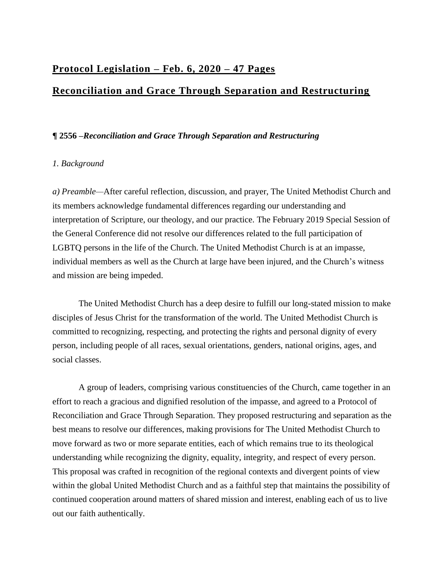# **Protocol Legislation – Feb. 6, 2020 – 47 Pages**

# **Reconciliation and Grace Through Separation and Restructuring**

# **¶ 2556 –***Reconciliation and Grace Through Separation and Restructuring*

# *1. Background*

*a) Preamble—*After careful reflection, discussion, and prayer, The United Methodist Church and its members acknowledge fundamental differences regarding our understanding and interpretation of Scripture, our theology, and our practice. The February 2019 Special Session of the General Conference did not resolve our differences related to the full participation of LGBTQ persons in the life of the Church. The United Methodist Church is at an impasse, individual members as well as the Church at large have been injured, and the Church's witness and mission are being impeded.

 The United Methodist Church has a deep desire to fulfill our long-stated mission to make disciples of Jesus Christ for the transformation of the world. The United Methodist Church is committed to recognizing, respecting, and protecting the rights and personal dignity of every person, including people of all races, sexual orientations, genders, national origins, ages, and social classes.

 A group of leaders, comprising various constituencies of the Church, came together in an effort to reach a gracious and dignified resolution of the impasse, and agreed to a Protocol of Reconciliation and Grace Through Separation. They proposed restructuring and separation as the best means to resolve our differences, making provisions for The United Methodist Church to move forward as two or more separate entities, each of which remains true to its theological understanding while recognizing the dignity, equality, integrity, and respect of every person. This proposal was crafted in recognition of the regional contexts and divergent points of view within the global United Methodist Church and as a faithful step that maintains the possibility of continued cooperation around matters of shared mission and interest, enabling each of us to live out our faith authentically.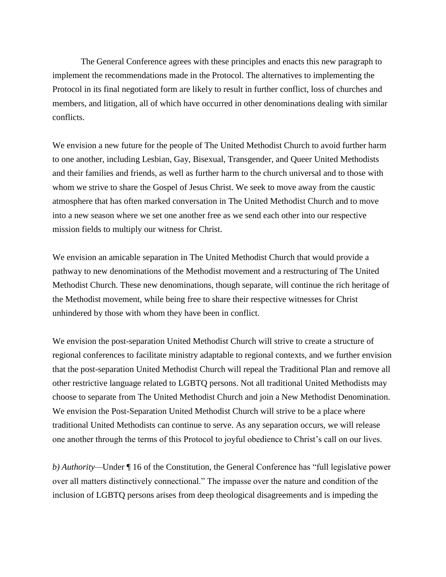The General Conference agrees with these principles and enacts this new paragraph to implement the recommendations made in the Protocol. The alternatives to implementing the Protocol in its final negotiated form are likely to result in further conflict, loss of churches and members, and litigation, all of which have occurred in other denominations dealing with similar conflicts.

We envision a new future for the people of The United Methodist Church to avoid further harm to one another, including Lesbian, Gay, Bisexual, Transgender, and Queer United Methodists and their families and friends, as well as further harm to the church universal and to those with whom we strive to share the Gospel of Jesus Christ. We seek to move away from the caustic atmosphere that has often marked conversation in The United Methodist Church and to move into a new season where we set one another free as we send each other into our respective mission fields to multiply our witness for Christ.

We envision an amicable separation in The United Methodist Church that would provide a pathway to new denominations of the Methodist movement and a restructuring of The United Methodist Church. These new denominations, though separate, will continue the rich heritage of the Methodist movement, while being free to share their respective witnesses for Christ unhindered by those with whom they have been in conflict.

We envision the post-separation United Methodist Church will strive to create a structure of regional conferences to facilitate ministry adaptable to regional contexts, and we further envision that the post-separation United Methodist Church will repeal the Traditional Plan and remove all other restrictive language related to LGBTQ persons. Not all traditional United Methodists may choose to separate from The United Methodist Church and join a New Methodist Denomination. We envision the Post-Separation United Methodist Church will strive to be a place where traditional United Methodists can continue to serve. As any separation occurs, we will release one another through the terms of this Protocol to joyful obedience to Christ's call on our lives.

*b) Authority—*Under ¶ 16 of the Constitution, the General Conference has "full legislative power over all matters distinctively connectional." The impasse over the nature and condition of the inclusion of LGBTQ persons arises from deep theological disagreements and is impeding the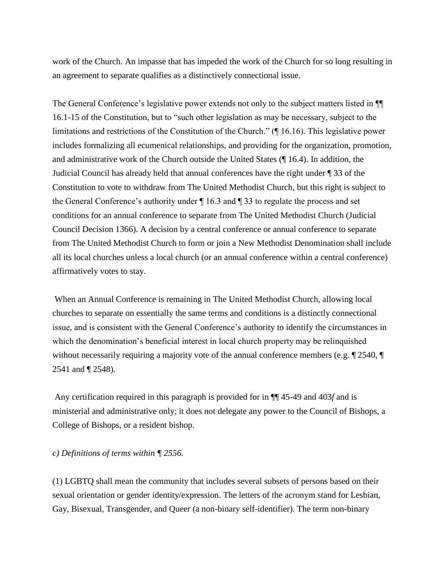work of the Church. An impasse that has impeded the work of the Church for so long resulting in an agreement to separate qualifies as a distinctively connectional issue.

The General Conference's legislative power extends not only to the subject matters listed in ¶¶ 16.1-15 of the Constitution, but to "such other legislation as may be necessary, subject to the limitations and restrictions of the Constitution of the Church." (¶ 16.16). This legislative power includes formalizing all ecumenical relationships, and providing for the organization, promotion, and administrative work of the Church outside the United States (¶ 16.4). In addition, the Judicial Council has already held that annual conferences have the right under ¶ 33 of the Constitution to vote to withdraw from The United Methodist Church, but this right is subject to the General Conference's authority under  $\P$  16.3 and  $\P$  33 to regulate the process and set conditions for an annual conference to separate from The United Methodist Church (Judicial Council Decision 1366). A decision by a central conference or annual conference to separate from The United Methodist Church to form or join a New Methodist Denomination shall include all its local churches unless a local church (or an annual conference within a central conference) affirmatively votes to stay.

When an Annual Conference is remaining in The United Methodist Church, allowing local churches to separate on essentially the same terms and conditions is a distinctly connectional issue, and is consistent with the General Conference's authority to identify the circumstances in which the denomination's beneficial interest in local church property may be relinquished without necessarily requiring a majority vote of the annual conference members (e.g.  $\parallel$  2540,  $\parallel$ 2541 and ¶ 2548).

Any certification required in this paragraph is provided for in ¶¶ 45-49 and 403*f* and is ministerial and administrative only; it does not delegate any power to the Council of Bishops, a College of Bishops, or a resident bishop.

#### *c) Definitions of terms within ¶ 2556.*

(1) LGBTQ shall mean the community that includes several subsets of persons based on their sexual orientation or gender identity/expression. The letters of the acronym stand for Lesbian, Gay, Bisexual, Transgender, and Queer (a non-binary self-identifier). The term non-binary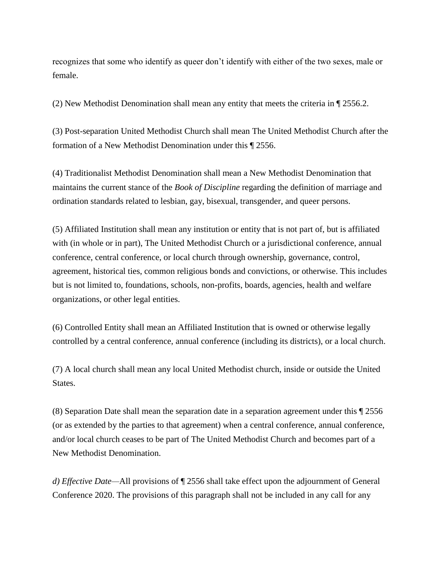recognizes that some who identify as queer don't identify with either of the two sexes, male or female.

(2) New Methodist Denomination shall mean any entity that meets the criteria in ¶ 2556.2.

(3) Post-separation United Methodist Church shall mean The United Methodist Church after the formation of a New Methodist Denomination under this ¶ 2556.

(4) Traditionalist Methodist Denomination shall mean a New Methodist Denomination that maintains the current stance of the *Book of Discipline* regarding the definition of marriage and ordination standards related to lesbian, gay, bisexual, transgender, and queer persons.

(5) Affiliated Institution shall mean any institution or entity that is not part of, but is affiliated with (in whole or in part), The United Methodist Church or a jurisdictional conference, annual conference, central conference, or local church through ownership, governance, control, agreement, historical ties, common religious bonds and convictions, or otherwise. This includes but is not limited to, foundations, schools, non-profits, boards, agencies, health and welfare organizations, or other legal entities.

(6) Controlled Entity shall mean an Affiliated Institution that is owned or otherwise legally controlled by a central conference, annual conference (including its districts), or a local church.

(7) A local church shall mean any local United Methodist church, inside or outside the United States.

(8) Separation Date shall mean the separation date in a separation agreement under this ¶ 2556 (or as extended by the parties to that agreement) when a central conference, annual conference, and/or local church ceases to be part of The United Methodist Church and becomes part of a New Methodist Denomination.

*d) Effective Date—*All provisions of ¶ 2556 shall take effect upon the adjournment of General Conference 2020. The provisions of this paragraph shall not be included in any call for any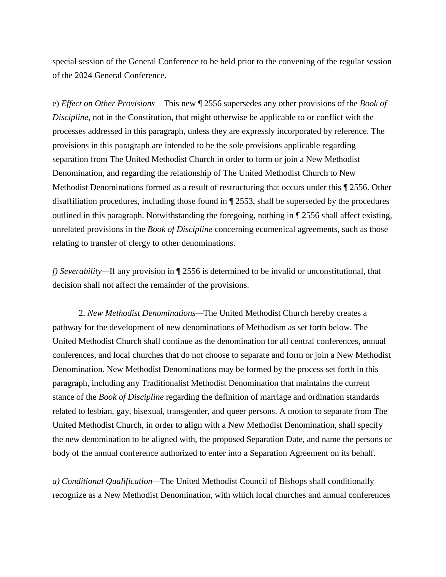special session of the General Conference to be held prior to the convening of the regular session of the 2024 General Conference.

e) *Effect on Other Provisions*—This new ¶ 2556 supersedes any other provisions of the *Book of Discipline,* not in the Constitution, that might otherwise be applicable to or conflict with the processes addressed in this paragraph, unless they are expressly incorporated by reference. The provisions in this paragraph are intended to be the sole provisions applicable regarding separation from The United Methodist Church in order to form or join a New Methodist Denomination, and regarding the relationship of The United Methodist Church to New Methodist Denominations formed as a result of restructuring that occurs under this ¶ 2556. Other disaffiliation procedures, including those found in ¶ 2553, shall be superseded by the procedures outlined in this paragraph. Notwithstanding the foregoing, nothing in ¶ 2556 shall affect existing, unrelated provisions in the *Book of Discipline* concerning ecumenical agreements, such as those relating to transfer of clergy to other denominations.

*f) Severability—If* any provision in  $\mathbb{I}$  2556 is determined to be invalid or unconstitutional, that decision shall not affect the remainder of the provisions.

 2. *New Methodist Denominations—*The United Methodist Church hereby creates a pathway for the development of new denominations of Methodism as set forth below. The United Methodist Church shall continue as the denomination for all central conferences, annual conferences, and local churches that do not choose to separate and form or join a New Methodist Denomination. New Methodist Denominations may be formed by the process set forth in this paragraph, including any Traditionalist Methodist Denomination that maintains the current stance of the *Book of Discipline* regarding the definition of marriage and ordination standards related to lesbian, gay, bisexual, transgender, and queer persons. A motion to separate from The United Methodist Church, in order to align with a New Methodist Denomination, shall specify the new denomination to be aligned with, the proposed Separation Date, and name the persons or body of the annual conference authorized to enter into a Separation Agreement on its behalf.

*a) Conditional Qualification—*The United Methodist Council of Bishops shall conditionally recognize as a New Methodist Denomination, with which local churches and annual conferences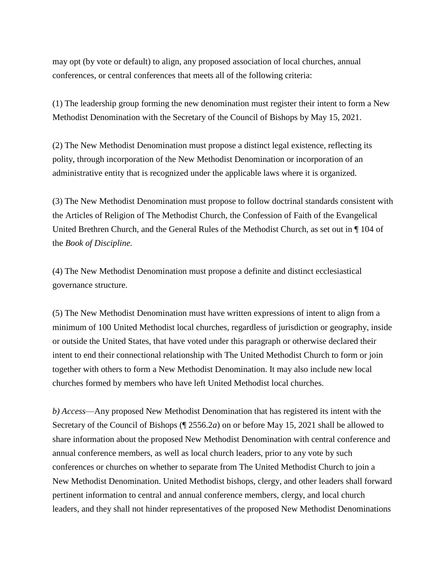may opt (by vote or default) to align, any proposed association of local churches, annual conferences, or central conferences that meets all of the following criteria:

(1) The leadership group forming the new denomination must register their intent to form a New Methodist Denomination with the Secretary of the Council of Bishops by May 15, 2021.

(2) The New Methodist Denomination must propose a distinct legal existence, reflecting its polity, through incorporation of the New Methodist Denomination or incorporation of an administrative entity that is recognized under the applicable laws where it is organized.

(3) The New Methodist Denomination must propose to follow doctrinal standards consistent with the Articles of Religion of The Methodist Church, the Confession of Faith of the Evangelical United Brethren Church, and the General Rules of the Methodist Church, as set out in ¶ 104 of the *Book of Discipline.*

(4) The New Methodist Denomination must propose a definite and distinct ecclesiastical governance structure.

(5) The New Methodist Denomination must have written expressions of intent to align from a minimum of 100 United Methodist local churches, regardless of jurisdiction or geography, inside or outside the United States, that have voted under this paragraph or otherwise declared their intent to end their connectional relationship with The United Methodist Church to form or join together with others to form a New Methodist Denomination. It may also include new local churches formed by members who have left United Methodist local churches.

*b) Access*—Any proposed New Methodist Denomination that has registered its intent with the Secretary of the Council of Bishops (¶ 2556.2*a*) on or before May 15, 2021 shall be allowed to share information about the proposed New Methodist Denomination with central conference and annual conference members, as well as local church leaders, prior to any vote by such conferences or churches on whether to separate from The United Methodist Church to join a New Methodist Denomination. United Methodist bishops, clergy, and other leaders shall forward pertinent information to central and annual conference members, clergy, and local church leaders, and they shall not hinder representatives of the proposed New Methodist Denominations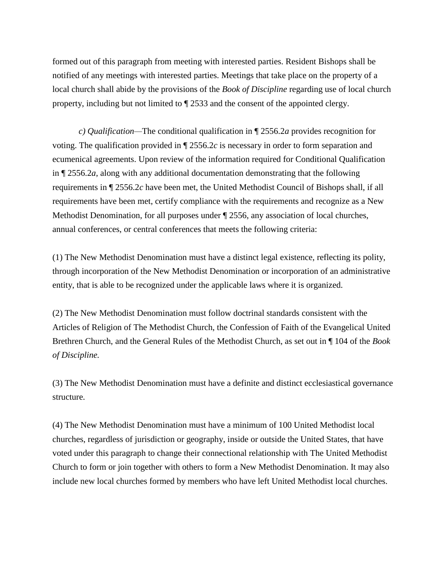formed out of this paragraph from meeting with interested parties. Resident Bishops shall be notified of any meetings with interested parties. Meetings that take place on the property of a local church shall abide by the provisions of the *Book of Discipline* regarding use of local church property, including but not limited to ¶ 2533 and the consent of the appointed clergy.

 *c) Qualification—*The conditional qualification in ¶ 2556.2*a* provides recognition for voting. The qualification provided in ¶ 2556.2*c* is necessary in order to form separation and ecumenical agreements. Upon review of the information required for Conditional Qualification in ¶ 2556.2*a*, along with any additional documentation demonstrating that the following requirements in ¶ 2556.2*c* have been met, the United Methodist Council of Bishops shall, if all requirements have been met, certify compliance with the requirements and recognize as a New Methodist Denomination, for all purposes under ¶ 2556, any association of local churches, annual conferences, or central conferences that meets the following criteria:

(1) The New Methodist Denomination must have a distinct legal existence, reflecting its polity, through incorporation of the New Methodist Denomination or incorporation of an administrative entity, that is able to be recognized under the applicable laws where it is organized.

(2) The New Methodist Denomination must follow doctrinal standards consistent with the Articles of Religion of The Methodist Church, the Confession of Faith of the Evangelical United Brethren Church, and the General Rules of the Methodist Church, as set out in ¶ 104 of the *Book of Discipline.*

(3) The New Methodist Denomination must have a definite and distinct ecclesiastical governance structure.

(4) The New Methodist Denomination must have a minimum of 100 United Methodist local churches, regardless of jurisdiction or geography, inside or outside the United States, that have voted under this paragraph to change their connectional relationship with The United Methodist Church to form or join together with others to form a New Methodist Denomination. It may also include new local churches formed by members who have left United Methodist local churches.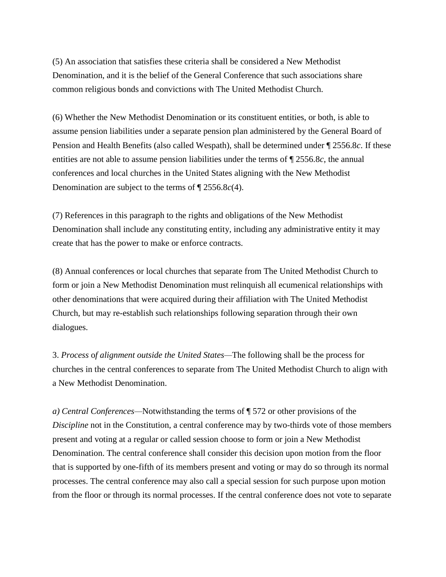(5) An association that satisfies these criteria shall be considered a New Methodist Denomination, and it is the belief of the General Conference that such associations share common religious bonds and convictions with The United Methodist Church.

(6) Whether the New Methodist Denomination or its constituent entities, or both, is able to assume pension liabilities under a separate pension plan administered by the General Board of Pension and Health Benefits (also called Wespath), shall be determined under ¶ 2556.8*c*. If these entities are not able to assume pension liabilities under the terms of ¶ 2556.8*c*, the annual conferences and local churches in the United States aligning with the New Methodist Denomination are subject to the terms of ¶ 2556.8*c*(4).

(7) References in this paragraph to the rights and obligations of the New Methodist Denomination shall include any constituting entity, including any administrative entity it may create that has the power to make or enforce contracts.

(8) Annual conferences or local churches that separate from The United Methodist Church to form or join a New Methodist Denomination must relinquish all ecumenical relationships with other denominations that were acquired during their affiliation with The United Methodist Church, but may re-establish such relationships following separation through their own dialogues.

3. *Process* o*f alignment outside the United States—*The following shall be the process for churches in the central conferences to separate from The United Methodist Church to align with a New Methodist Denomination.

*a) Central Conferences—*Notwithstanding the terms of ¶ 572 or other provisions of the *Discipline* not in the Constitution, a central conference may by two-thirds vote of those members present and voting at a regular or called session choose to form or join a New Methodist Denomination. The central conference shall consider this decision upon motion from the floor that is supported by one-fifth of its members present and voting or may do so through its normal processes. The central conference may also call a special session for such purpose upon motion from the floor or through its normal processes. If the central conference does not vote to separate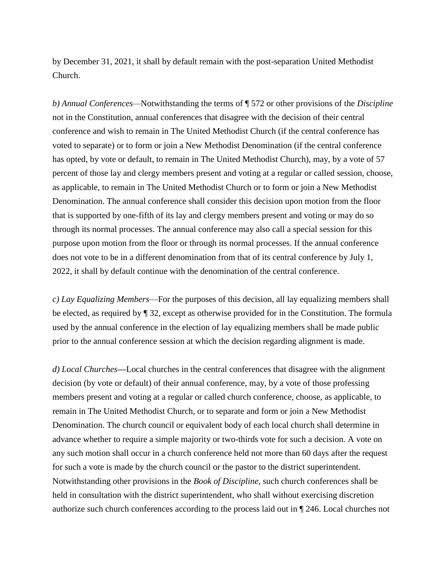by December 31, 2021, it shall by default remain with the post-separation United Methodist Church.

*b) Annual Conferences—*Notwithstanding the terms of ¶ 572 or other provisions of the *Discipline*  not in the Constitution, annual conferences that disagree with the decision of their central conference and wish to remain in The United Methodist Church (if the central conference has voted to separate) or to form or join a New Methodist Denomination (if the central conference has opted, by vote or default, to remain in The United Methodist Church), may, by a vote of 57 percent of those lay and clergy members present and voting at a regular or called session, choose, as applicable, to remain in The United Methodist Church or to form or join a New Methodist Denomination. The annual conference shall consider this decision upon motion from the floor that is supported by one-fifth of its lay and clergy members present and voting or may do so through its normal processes. The annual conference may also call a special session for this purpose upon motion from the floor or through its normal processes. If the annual conference does not vote to be in a different denomination from that of its central conference by July 1, 2022, it shall by default continue with the denomination of the central conference.

*c) Lay Equalizing Members*—For the purposes of this decision, all lay equalizing members shall be elected, as required by ¶ 32, except as otherwise provided for in the Constitution. The formula used by the annual conference in the election of lay equalizing members shall be made public prior to the annual conference session at which the decision regarding alignment is made.

*d) Local Churches—*Local churches in the central conferences that disagree with the alignment decision (by vote or default) of their annual conference, may, by a vote of those professing members present and voting at a regular or called church conference, choose, as applicable, to remain in The United Methodist Church, or to separate and form or join a New Methodist Denomination. The church council or equivalent body of each local church shall determine in advance whether to require a simple majority or two-thirds vote for such a decision. A vote on any such motion shall occur in a church conference held not more than 60 days after the request for such a vote is made by the church council or the pastor to the district superintendent. Notwithstanding other provisions in the *Book of Discipline*, such church conferences shall be held in consultation with the district superintendent, who shall without exercising discretion authorize such church conferences according to the process laid out in ¶ 246. Local churches not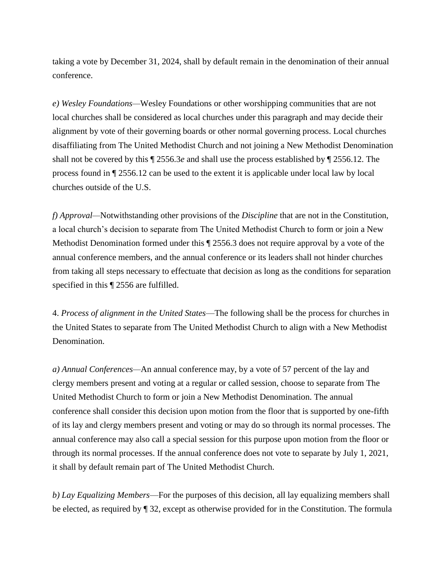taking a vote by December 31, 2024, shall by default remain in the denomination of their annual conference.

*e) Wesley Foundations—*Wesley Foundations or other worshipping communities that are not local churches shall be considered as local churches under this paragraph and may decide their alignment by vote of their governing boards or other normal governing process. Local churches disaffiliating from The United Methodist Church and not joining a New Methodist Denomination shall not be covered by this ¶ 2556.3*e* and shall use the process established by ¶ 2556.12. The process found in ¶ 2556.12 can be used to the extent it is applicable under local law by local churches outside of the U.S.

*f) Approval—*Notwithstanding other provisions of the *Discipline* that are not in the Constitution, a local church's decision to separate from The United Methodist Church to form or join a New Methodist Denomination formed under this ¶ 2556.3 does not require approval by a vote of the annual conference members, and the annual conference or its leaders shall not hinder churches from taking all steps necessary to effectuate that decision as long as the conditions for separation specified in this  $\P$  2556 are fulfilled.

4. *Process of alignment in the United States*—The following shall be the process for churches in the United States to separate from The United Methodist Church to align with a New Methodist Denomination.

*a) Annual Conferences—*An annual conference may, by a vote of 57 percent of the lay and clergy members present and voting at a regular or called session, choose to separate from The United Methodist Church to form or join a New Methodist Denomination. The annual conference shall consider this decision upon motion from the floor that is supported by one-fifth of its lay and clergy members present and voting or may do so through its normal processes. The annual conference may also call a special session for this purpose upon motion from the floor or through its normal processes. If the annual conference does not vote to separate by July 1, 2021, it shall by default remain part of The United Methodist Church.

*b) Lay Equalizing Members*—For the purposes of this decision, all lay equalizing members shall be elected, as required by ¶ 32, except as otherwise provided for in the Constitution. The formula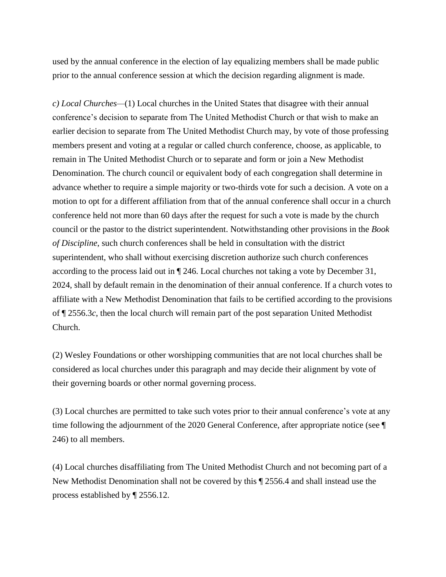used by the annual conference in the election of lay equalizing members shall be made public prior to the annual conference session at which the decision regarding alignment is made.

*c) Local Churches—*(1) Local churches in the United States that disagree with their annual conference's decision to separate from The United Methodist Church or that wish to make an earlier decision to separate from The United Methodist Church may, by vote of those professing members present and voting at a regular or called church conference, choose, as applicable, to remain in The United Methodist Church or to separate and form or join a New Methodist Denomination. The church council or equivalent body of each congregation shall determine in advance whether to require a simple majority or two-thirds vote for such a decision. A vote on a motion to opt for a different affiliation from that of the annual conference shall occur in a church conference held not more than 60 days after the request for such a vote is made by the church council or the pastor to the district superintendent. Notwithstanding other provisions in the *Book of Discipline*, such church conferences shall be held in consultation with the district superintendent, who shall without exercising discretion authorize such church conferences according to the process laid out in ¶ 246. Local churches not taking a vote by December 31, 2024, shall by default remain in the denomination of their annual conference. If a church votes to affiliate with a New Methodist Denomination that fails to be certified according to the provisions of ¶ 2556.3*c*, then the local church will remain part of the post separation United Methodist Church.

(2) Wesley Foundations or other worshipping communities that are not local churches shall be considered as local churches under this paragraph and may decide their alignment by vote of their governing boards or other normal governing process.

(3) Local churches are permitted to take such votes prior to their annual conference's vote at any time following the adjournment of the 2020 General Conference, after appropriate notice (see ¶ 246) to all members.

(4) Local churches disaffiliating from The United Methodist Church and not becoming part of a New Methodist Denomination shall not be covered by this ¶ 2556.4 and shall instead use the process established by ¶ 2556.12.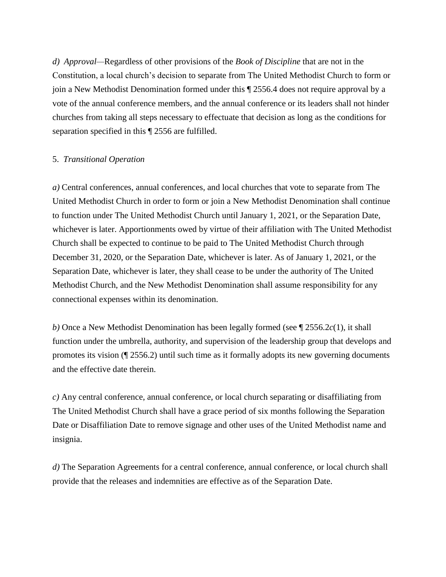*d) Approval—*Regardless of other provisions of the *Book of Discipline* that are not in the Constitution, a local church's decision to separate from The United Methodist Church to form or join a New Methodist Denomination formed under this ¶ 2556.4 does not require approval by a vote of the annual conference members, and the annual conference or its leaders shall not hinder churches from taking all steps necessary to effectuate that decision as long as the conditions for separation specified in this ¶ 2556 are fulfilled.

#### 5. *Transitional Operation*

*a)* Central conferences, annual conferences, and local churches that vote to separate from The United Methodist Church in order to form or join a New Methodist Denomination shall continue to function under The United Methodist Church until January 1, 2021, or the Separation Date, whichever is later. Apportionments owed by virtue of their affiliation with The United Methodist Church shall be expected to continue to be paid to The United Methodist Church through December 31, 2020, or the Separation Date, whichever is later. As of January 1, 2021, or the Separation Date, whichever is later, they shall cease to be under the authority of The United Methodist Church, and the New Methodist Denomination shall assume responsibility for any connectional expenses within its denomination.

*b)* Once a New Methodist Denomination has been legally formed (see ¶ 2556.2*c*(1), it shall function under the umbrella, authority, and supervision of the leadership group that develops and promotes its vision (¶ 2556.2) until such time as it formally adopts its new governing documents and the effective date therein.

*c)* Any central conference, annual conference, or local church separating or disaffiliating from The United Methodist Church shall have a grace period of six months following the Separation Date or Disaffiliation Date to remove signage and other uses of the United Methodist name and insignia.

*d)* The Separation Agreements for a central conference, annual conference, or local church shall provide that the releases and indemnities are effective as of the Separation Date.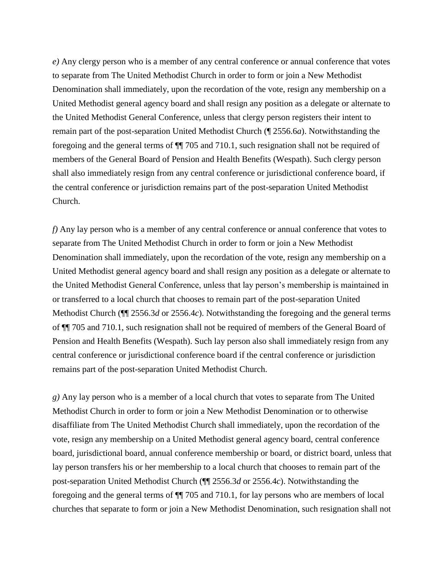*e*) Any clergy person who is a member of any central conference or annual conference that votes to separate from The United Methodist Church in order to form or join a New Methodist Denomination shall immediately, upon the recordation of the vote, resign any membership on a United Methodist general agency board and shall resign any position as a delegate or alternate to the United Methodist General Conference, unless that clergy person registers their intent to remain part of the post-separation United Methodist Church (¶ 2556.6*a*). Notwithstanding the foregoing and the general terms of ¶¶ 705 and 710.1, such resignation shall not be required of members of the General Board of Pension and Health Benefits (Wespath). Such clergy person shall also immediately resign from any central conference or jurisdictional conference board, if the central conference or jurisdiction remains part of the post-separation United Methodist Church.

*f)* Any lay person who is a member of any central conference or annual conference that votes to separate from The United Methodist Church in order to form or join a New Methodist Denomination shall immediately, upon the recordation of the vote, resign any membership on a United Methodist general agency board and shall resign any position as a delegate or alternate to the United Methodist General Conference, unless that lay person's membership is maintained in or transferred to a local church that chooses to remain part of the post-separation United Methodist Church (¶¶ 2556.3*d* or 2556.4*c*). Notwithstanding the foregoing and the general terms of ¶¶ 705 and 710.1, such resignation shall not be required of members of the General Board of Pension and Health Benefits (Wespath). Such lay person also shall immediately resign from any central conference or jurisdictional conference board if the central conference or jurisdiction remains part of the post-separation United Methodist Church.

*g)* Any lay person who is a member of a local church that votes to separate from The United Methodist Church in order to form or join a New Methodist Denomination or to otherwise disaffiliate from The United Methodist Church shall immediately, upon the recordation of the vote, resign any membership on a United Methodist general agency board, central conference board, jurisdictional board, annual conference membership or board, or district board, unless that lay person transfers his or her membership to a local church that chooses to remain part of the post-separation United Methodist Church (¶¶ 2556.3*d* or 2556.4*c*). Notwithstanding the foregoing and the general terms of ¶¶ 705 and 710.1, for lay persons who are members of local churches that separate to form or join a New Methodist Denomination, such resignation shall not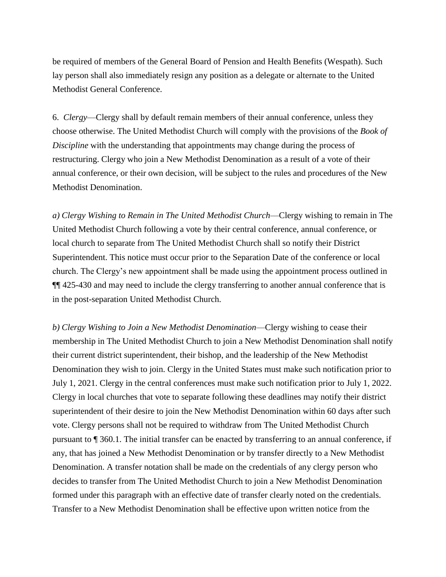be required of members of the General Board of Pension and Health Benefits (Wespath). Such lay person shall also immediately resign any position as a delegate or alternate to the United Methodist General Conference.

6. *Clergy*—Clergy shall by default remain members of their annual conference, unless they choose otherwise. The United Methodist Church will comply with the provisions of the *Book of Discipline* with the understanding that appointments may change during the process of restructuring. Clergy who join a New Methodist Denomination as a result of a vote of their annual conference, or their own decision, will be subject to the rules and procedures of the New Methodist Denomination.

*a) Clergy Wishing to Remain in The United Methodist Church*—Clergy wishing to remain in The United Methodist Church following a vote by their central conference, annual conference, or local church to separate from The United Methodist Church shall so notify their District Superintendent. This notice must occur prior to the Separation Date of the conference or local church. The Clergy's new appointment shall be made using the appointment process outlined in ¶¶ 425-430 and may need to include the clergy transferring to another annual conference that is in the post-separation United Methodist Church.

*b) Clergy Wishing to Join a New Methodist Denomination*—Clergy wishing to cease their membership in The United Methodist Church to join a New Methodist Denomination shall notify their current district superintendent, their bishop, and the leadership of the New Methodist Denomination they wish to join. Clergy in the United States must make such notification prior to July 1, 2021. Clergy in the central conferences must make such notification prior to July 1, 2022. Clergy in local churches that vote to separate following these deadlines may notify their district superintendent of their desire to join the New Methodist Denomination within 60 days after such vote. Clergy persons shall not be required to withdraw from The United Methodist Church pursuant to ¶ 360.1. The initial transfer can be enacted by transferring to an annual conference, if any, that has joined a New Methodist Denomination or by transfer directly to a New Methodist Denomination. A transfer notation shall be made on the credentials of any clergy person who decides to transfer from The United Methodist Church to join a New Methodist Denomination formed under this paragraph with an effective date of transfer clearly noted on the credentials. Transfer to a New Methodist Denomination shall be effective upon written notice from the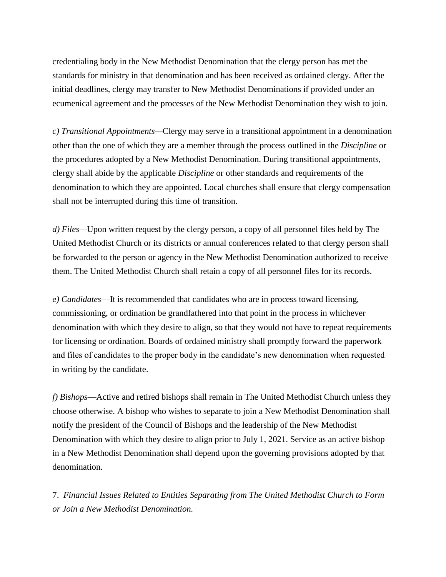credentialing body in the New Methodist Denomination that the clergy person has met the standards for ministry in that denomination and has been received as ordained clergy. After the initial deadlines, clergy may transfer to New Methodist Denominations if provided under an ecumenical agreement and the processes of the New Methodist Denomination they wish to join.

*c) Transitional Appointments—*Clergy may serve in a transitional appointment in a denomination other than the one of which they are a member through the process outlined in the *Discipline* or the procedures adopted by a New Methodist Denomination. During transitional appointments, clergy shall abide by the applicable *Discipline* or other standards and requirements of the denomination to which they are appointed. Local churches shall ensure that clergy compensation shall not be interrupted during this time of transition.

*d) Files—*Upon written request by the clergy person, a copy of all personnel files held by The United Methodist Church or its districts or annual conferences related to that clergy person shall be forwarded to the person or agency in the New Methodist Denomination authorized to receive them. The United Methodist Church shall retain a copy of all personnel files for its records.

*e) Candidates*—It is recommended that candidates who are in process toward licensing, commissioning, or ordination be grandfathered into that point in the process in whichever denomination with which they desire to align, so that they would not have to repeat requirements for licensing or ordination. Boards of ordained ministry shall promptly forward the paperwork and files of candidates to the proper body in the candidate's new denomination when requested in writing by the candidate.

*f) Bishops*—Active and retired bishops shall remain in The United Methodist Church unless they choose otherwise. A bishop who wishes to separate to join a New Methodist Denomination shall notify the president of the Council of Bishops and the leadership of the New Methodist Denomination with which they desire to align prior to July 1, 2021. Service as an active bishop in a New Methodist Denomination shall depend upon the governing provisions adopted by that denomination.

7. *Financial Issues Related to Entities Separating from The United Methodist Church to Form or Join a New Methodist Denomination.*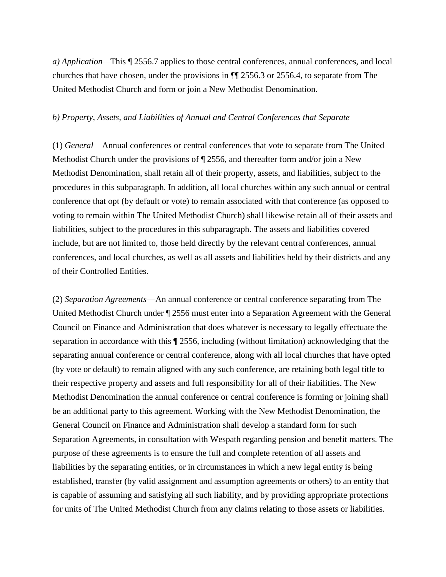*a) Application—*This ¶ 2556.7 applies to those central conferences, annual conferences, and local churches that have chosen, under the provisions in ¶¶ 2556.3 or 2556.4, to separate from The United Methodist Church and form or join a New Methodist Denomination.

#### *b) Property, Assets, and Liabilities of Annual and Central Conferences that Separate*

(1) *General*—Annual conferences or central conferences that vote to separate from The United Methodist Church under the provisions of  $\P$  2556, and thereafter form and/or join a New Methodist Denomination, shall retain all of their property, assets, and liabilities, subject to the procedures in this subparagraph. In addition, all local churches within any such annual or central conference that opt (by default or vote) to remain associated with that conference (as opposed to voting to remain within The United Methodist Church) shall likewise retain all of their assets and liabilities, subject to the procedures in this subparagraph. The assets and liabilities covered include, but are not limited to, those held directly by the relevant central conferences, annual conferences, and local churches, as well as all assets and liabilities held by their districts and any of their Controlled Entities.

(2) *Separation Agreements*—An annual conference or central conference separating from The United Methodist Church under ¶ 2556 must enter into a Separation Agreement with the General Council on Finance and Administration that does whatever is necessary to legally effectuate the separation in accordance with this ¶ 2556, including (without limitation) acknowledging that the separating annual conference or central conference, along with all local churches that have opted (by vote or default) to remain aligned with any such conference, are retaining both legal title to their respective property and assets and full responsibility for all of their liabilities. The New Methodist Denomination the annual conference or central conference is forming or joining shall be an additional party to this agreement. Working with the New Methodist Denomination, the General Council on Finance and Administration shall develop a standard form for such Separation Agreements, in consultation with Wespath regarding pension and benefit matters. The purpose of these agreements is to ensure the full and complete retention of all assets and liabilities by the separating entities, or in circumstances in which a new legal entity is being established, transfer (by valid assignment and assumption agreements or others) to an entity that is capable of assuming and satisfying all such liability, and by providing appropriate protections for units of The United Methodist Church from any claims relating to those assets or liabilities.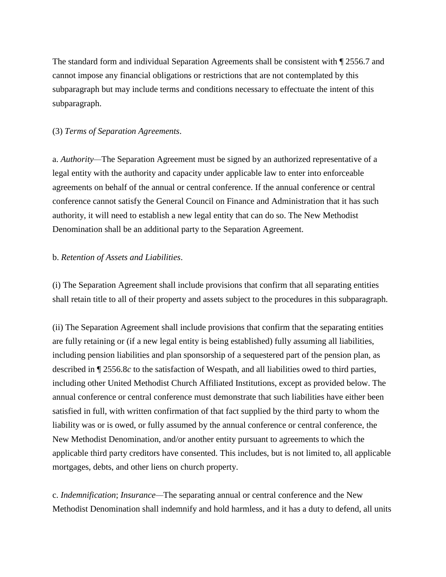The standard form and individual Separation Agreements shall be consistent with ¶ 2556.7 and cannot impose any financial obligations or restrictions that are not contemplated by this subparagraph but may include terms and conditions necessary to effectuate the intent of this subparagraph.

# (3) *Terms of Separation Agreements*.

a. *Authority—*The Separation Agreement must be signed by an authorized representative of a legal entity with the authority and capacity under applicable law to enter into enforceable agreements on behalf of the annual or central conference. If the annual conference or central conference cannot satisfy the General Council on Finance and Administration that it has such authority, it will need to establish a new legal entity that can do so. The New Methodist Denomination shall be an additional party to the Separation Agreement.

#### b. *Retention of Assets and Liabilities*.

(i) The Separation Agreement shall include provisions that confirm that all separating entities shall retain title to all of their property and assets subject to the procedures in this subparagraph.

(ii) The Separation Agreement shall include provisions that confirm that the separating entities are fully retaining or (if a new legal entity is being established) fully assuming all liabilities, including pension liabilities and plan sponsorship of a sequestered part of the pension plan, as described in ¶ 2556.8*c* to the satisfaction of Wespath, and all liabilities owed to third parties, including other United Methodist Church Affiliated Institutions, except as provided below. The annual conference or central conference must demonstrate that such liabilities have either been satisfied in full, with written confirmation of that fact supplied by the third party to whom the liability was or is owed, or fully assumed by the annual conference or central conference, the New Methodist Denomination, and/or another entity pursuant to agreements to which the applicable third party creditors have consented. This includes, but is not limited to, all applicable mortgages, debts, and other liens on church property.

c. *Indemnification*; *Insurance—*The separating annual or central conference and the New Methodist Denomination shall indemnify and hold harmless, and it has a duty to defend, all units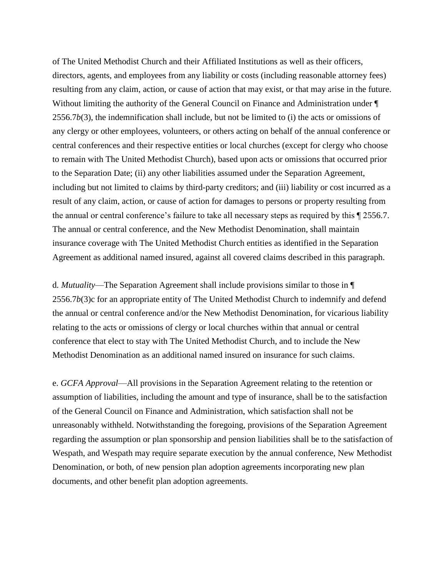of The United Methodist Church and their Affiliated Institutions as well as their officers, directors, agents, and employees from any liability or costs (including reasonable attorney fees) resulting from any claim, action, or cause of action that may exist, or that may arise in the future. Without limiting the authority of the General Council on Finance and Administration under  $\P$ 2556.7*b*(3), the indemnification shall include, but not be limited to (i) the acts or omissions of any clergy or other employees, volunteers, or others acting on behalf of the annual conference or central conferences and their respective entities or local churches (except for clergy who choose to remain with The United Methodist Church), based upon acts or omissions that occurred prior to the Separation Date; (ii) any other liabilities assumed under the Separation Agreement, including but not limited to claims by third-party creditors; and (iii) liability or cost incurred as a result of any claim, action, or cause of action for damages to persons or property resulting from the annual or central conference's failure to take all necessary steps as required by this ¶ 2556.7. The annual or central conference, and the New Methodist Denomination, shall maintain insurance coverage with The United Methodist Church entities as identified in the Separation Agreement as additional named insured, against all covered claims described in this paragraph.

d*. Mutuality*—The Separation Agreement shall include provisions similar to those in ¶ 2556.7*b*(3)c for an appropriate entity of The United Methodist Church to indemnify and defend the annual or central conference and/or the New Methodist Denomination, for vicarious liability relating to the acts or omissions of clergy or local churches within that annual or central conference that elect to stay with The United Methodist Church, and to include the New Methodist Denomination as an additional named insured on insurance for such claims.

e. *GCFA Approval*—All provisions in the Separation Agreement relating to the retention or assumption of liabilities, including the amount and type of insurance, shall be to the satisfaction of the General Council on Finance and Administration, which satisfaction shall not be unreasonably withheld. Notwithstanding the foregoing, provisions of the Separation Agreement regarding the assumption or plan sponsorship and pension liabilities shall be to the satisfaction of Wespath, and Wespath may require separate execution by the annual conference, New Methodist Denomination, or both, of new pension plan adoption agreements incorporating new plan documents, and other benefit plan adoption agreements.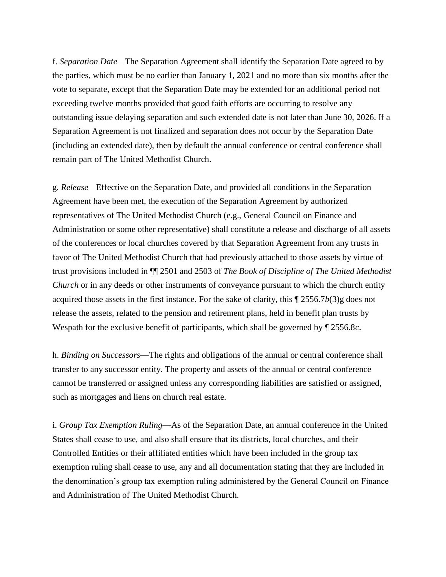f. *Separation Date—*The Separation Agreement shall identify the Separation Date agreed to by the parties, which must be no earlier than January 1, 2021 and no more than six months after the vote to separate, except that the Separation Date may be extended for an additional period not exceeding twelve months provided that good faith efforts are occurring to resolve any outstanding issue delaying separation and such extended date is not later than June 30, 2026. If a Separation Agreement is not finalized and separation does not occur by the Separation Date (including an extended date), then by default the annual conference or central conference shall remain part of The United Methodist Church.

g*. Release—*Effective on the Separation Date, and provided all conditions in the Separation Agreement have been met, the execution of the Separation Agreement by authorized representatives of The United Methodist Church (e.g., General Council on Finance and Administration or some other representative) shall constitute a release and discharge of all assets of the conferences or local churches covered by that Separation Agreement from any trusts in favor of The United Methodist Church that had previously attached to those assets by virtue of trust provisions included in ¶¶ 2501 and 2503 of *The Book of Discipline of The United Methodist Church* or in any deeds or other instruments of conveyance pursuant to which the church entity acquired those assets in the first instance. For the sake of clarity, this ¶ 2556.7*b*(3)g does not release the assets, related to the pension and retirement plans, held in benefit plan trusts by Wespath for the exclusive benefit of participants, which shall be governed by ¶ 2556.8*c*.

h. *Binding on Successors*—The rights and obligations of the annual or central conference shall transfer to any successor entity. The property and assets of the annual or central conference cannot be transferred or assigned unless any corresponding liabilities are satisfied or assigned, such as mortgages and liens on church real estate.

i. *Group Tax Exemption Ruling*—As of the Separation Date, an annual conference in the United States shall cease to use, and also shall ensure that its districts, local churches, and their Controlled Entities or their affiliated entities which have been included in the group tax exemption ruling shall cease to use, any and all documentation stating that they are included in the denomination's group tax exemption ruling administered by the General Council on Finance and Administration of The United Methodist Church.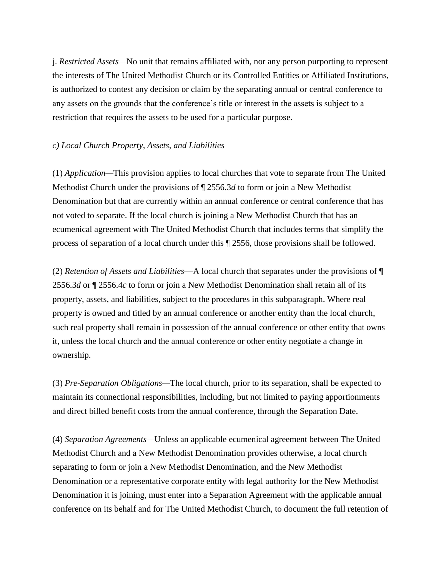j. *Restricted Assets—*No unit that remains affiliated with, nor any person purporting to represent the interests of The United Methodist Church or its Controlled Entities or Affiliated Institutions, is authorized to contest any decision or claim by the separating annual or central conference to any assets on the grounds that the conference's title or interest in the assets is subject to a restriction that requires the assets to be used for a particular purpose.

#### *c) Local Church Property, Assets, and Liabilities*

(1) *Application—*This provision applies to local churches that vote to separate from The United Methodist Church under the provisions of ¶ 2556.3*d* to form or join a New Methodist Denomination but that are currently within an annual conference or central conference that has not voted to separate. If the local church is joining a New Methodist Church that has an ecumenical agreement with The United Methodist Church that includes terms that simplify the process of separation of a local church under this ¶ 2556, those provisions shall be followed.

(2) *Retention of Assets and Liabilities*—A local church that separates under the provisions of ¶ 2556.3*d* or ¶ 2556.4*c* to form or join a New Methodist Denomination shall retain all of its property, assets, and liabilities, subject to the procedures in this subparagraph. Where real property is owned and titled by an annual conference or another entity than the local church, such real property shall remain in possession of the annual conference or other entity that owns it, unless the local church and the annual conference or other entity negotiate a change in ownership.

(3) *Pre-Separation Obligations—*The local church, prior to its separation, shall be expected to maintain its connectional responsibilities, including, but not limited to paying apportionments and direct billed benefit costs from the annual conference, through the Separation Date.

(4) *Separation Agreements—*Unless an applicable ecumenical agreement between The United Methodist Church and a New Methodist Denomination provides otherwise, a local church separating to form or join a New Methodist Denomination, and the New Methodist Denomination or a representative corporate entity with legal authority for the New Methodist Denomination it is joining, must enter into a Separation Agreement with the applicable annual conference on its behalf and for The United Methodist Church, to document the full retention of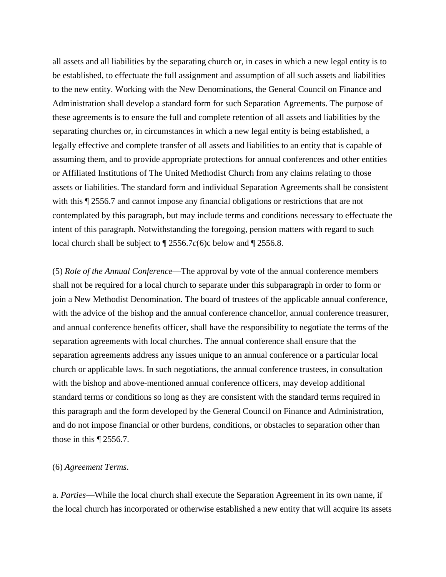all assets and all liabilities by the separating church or, in cases in which a new legal entity is to be established, to effectuate the full assignment and assumption of all such assets and liabilities to the new entity. Working with the New Denominations, the General Council on Finance and Administration shall develop a standard form for such Separation Agreements. The purpose of these agreements is to ensure the full and complete retention of all assets and liabilities by the separating churches or, in circumstances in which a new legal entity is being established, a legally effective and complete transfer of all assets and liabilities to an entity that is capable of assuming them, and to provide appropriate protections for annual conferences and other entities or Affiliated Institutions of The United Methodist Church from any claims relating to those assets or liabilities. The standard form and individual Separation Agreements shall be consistent with this ¶ 2556.7 and cannot impose any financial obligations or restrictions that are not contemplated by this paragraph, but may include terms and conditions necessary to effectuate the intent of this paragraph. Notwithstanding the foregoing, pension matters with regard to such local church shall be subject to ¶ 2556.7*c*(6)c below and ¶ 2556.8.

(5) *Role of the Annual Conference*—The approval by vote of the annual conference members shall not be required for a local church to separate under this subparagraph in order to form or join a New Methodist Denomination. The board of trustees of the applicable annual conference, with the advice of the bishop and the annual conference chancellor, annual conference treasurer, and annual conference benefits officer, shall have the responsibility to negotiate the terms of the separation agreements with local churches. The annual conference shall ensure that the separation agreements address any issues unique to an annual conference or a particular local church or applicable laws. In such negotiations, the annual conference trustees, in consultation with the bishop and above-mentioned annual conference officers, may develop additional standard terms or conditions so long as they are consistent with the standard terms required in this paragraph and the form developed by the General Council on Finance and Administration, and do not impose financial or other burdens, conditions, or obstacles to separation other than those in this ¶ 2556.7.

#### (6) *Agreement Terms*.

a. *Parties*—While the local church shall execute the Separation Agreement in its own name, if the local church has incorporated or otherwise established a new entity that will acquire its assets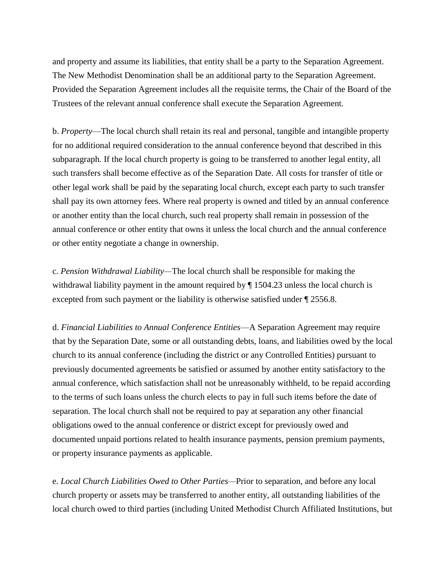and property and assume its liabilities, that entity shall be a party to the Separation Agreement. The New Methodist Denomination shall be an additional party to the Separation Agreement. Provided the Separation Agreement includes all the requisite terms, the Chair of the Board of the Trustees of the relevant annual conference shall execute the Separation Agreement.

b. *Property*—The local church shall retain its real and personal, tangible and intangible property for no additional required consideration to the annual conference beyond that described in this subparagraph. If the local church property is going to be transferred to another legal entity, all such transfers shall become effective as of the Separation Date. All costs for transfer of title or other legal work shall be paid by the separating local church, except each party to such transfer shall pay its own attorney fees. Where real property is owned and titled by an annual conference or another entity than the local church, such real property shall remain in possession of the annual conference or other entity that owns it unless the local church and the annual conference or other entity negotiate a change in ownership.

c. *Pension Withdrawal Liability—*The local church shall be responsible for making the withdrawal liability payment in the amount required by ¶ 1504.23 unless the local church is excepted from such payment or the liability is otherwise satisfied under ¶ 2556.8.

d. *Financial Liabilities to Annual Conference Entities*—A Separation Agreement may require that by the Separation Date, some or all outstanding debts, loans, and liabilities owed by the local church to its annual conference (including the district or any Controlled Entities) pursuant to previously documented agreements be satisfied or assumed by another entity satisfactory to the annual conference, which satisfaction shall not be unreasonably withheld, to be repaid according to the terms of such loans unless the church elects to pay in full such items before the date of separation. The local church shall not be required to pay at separation any other financial obligations owed to the annual conference or district except for previously owed and documented unpaid portions related to health insurance payments, pension premium payments, or property insurance payments as applicable.

e. *Local Church Liabilities Owed to Other Parties—*Prior to separation, and before any local church property or assets may be transferred to another entity, all outstanding liabilities of the local church owed to third parties (including United Methodist Church Affiliated Institutions, but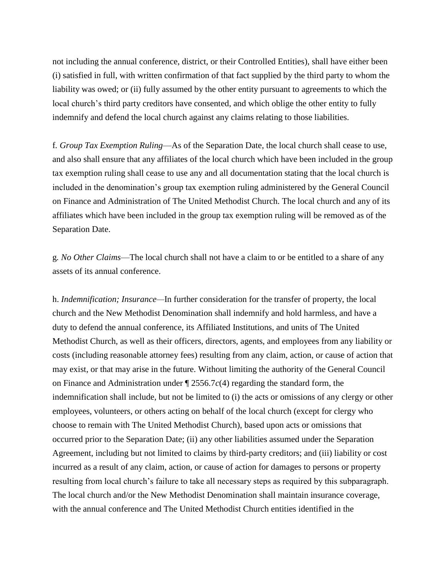not including the annual conference, district, or their Controlled Entities), shall have either been (i) satisfied in full, with written confirmation of that fact supplied by the third party to whom the liability was owed; or (ii) fully assumed by the other entity pursuant to agreements to which the local church's third party creditors have consented, and which oblige the other entity to fully indemnify and defend the local church against any claims relating to those liabilities.

f*. Group Tax Exemption Ruling*—As of the Separation Date, the local church shall cease to use, and also shall ensure that any affiliates of the local church which have been included in the group tax exemption ruling shall cease to use any and all documentation stating that the local church is included in the denomination's group tax exemption ruling administered by the General Council on Finance and Administration of The United Methodist Church. The local church and any of its affiliates which have been included in the group tax exemption ruling will be removed as of the Separation Date.

g*. No Other Claims*—The local church shall not have a claim to or be entitled to a share of any assets of its annual conference.

h. *Indemnification; Insurance—*In further consideration for the transfer of property, the local church and the New Methodist Denomination shall indemnify and hold harmless, and have a duty to defend the annual conference, its Affiliated Institutions, and units of The United Methodist Church, as well as their officers, directors, agents, and employees from any liability or costs (including reasonable attorney fees) resulting from any claim, action, or cause of action that may exist, or that may arise in the future. Without limiting the authority of the General Council on Finance and Administration under ¶ 2556.7*c*(4) regarding the standard form, the indemnification shall include, but not be limited to (i) the acts or omissions of any clergy or other employees, volunteers, or others acting on behalf of the local church (except for clergy who choose to remain with The United Methodist Church), based upon acts or omissions that occurred prior to the Separation Date; (ii) any other liabilities assumed under the Separation Agreement, including but not limited to claims by third-party creditors; and (iii) liability or cost incurred as a result of any claim, action, or cause of action for damages to persons or property resulting from local church's failure to take all necessary steps as required by this subparagraph. The local church and/or the New Methodist Denomination shall maintain insurance coverage, with the annual conference and The United Methodist Church entities identified in the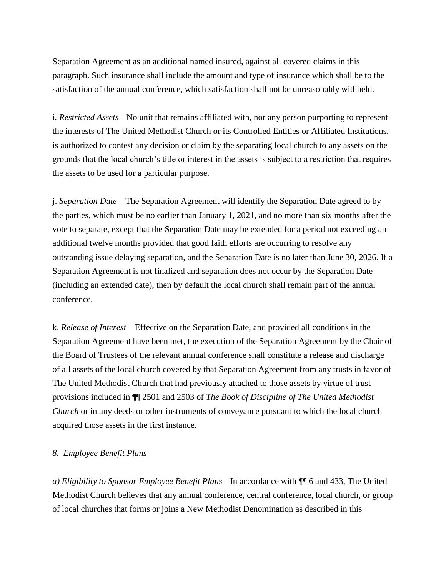Separation Agreement as an additional named insured, against all covered claims in this paragraph. Such insurance shall include the amount and type of insurance which shall be to the satisfaction of the annual conference, which satisfaction shall not be unreasonably withheld.

i*. Restricted Assets—*No unit that remains affiliated with, nor any person purporting to represent the interests of The United Methodist Church or its Controlled Entities or Affiliated Institutions, is authorized to contest any decision or claim by the separating local church to any assets on the grounds that the local church's title or interest in the assets is subject to a restriction that requires the assets to be used for a particular purpose.

j. *Separation Date*—The Separation Agreement will identify the Separation Date agreed to by the parties, which must be no earlier than January 1, 2021, and no more than six months after the vote to separate, except that the Separation Date may be extended for a period not exceeding an additional twelve months provided that good faith efforts are occurring to resolve any outstanding issue delaying separation, and the Separation Date is no later than June 30, 2026. If a Separation Agreement is not finalized and separation does not occur by the Separation Date (including an extended date), then by default the local church shall remain part of the annual conference.

k. *Release of Interest*—Effective on the Separation Date, and provided all conditions in the Separation Agreement have been met, the execution of the Separation Agreement by the Chair of the Board of Trustees of the relevant annual conference shall constitute a release and discharge of all assets of the local church covered by that Separation Agreement from any trusts in favor of The United Methodist Church that had previously attached to those assets by virtue of trust provisions included in ¶¶ 2501 and 2503 of *The Book of Discipline of The United Methodist Church* or in any deeds or other instruments of conveyance pursuant to which the local church acquired those assets in the first instance.

# *8. Employee Benefit Plans*

*a) Eligibility to Sponsor Employee Benefit Plans—*In accordance with ¶¶ 6 and 433, The United Methodist Church believes that any annual conference, central conference, local church, or group of local churches that forms or joins a New Methodist Denomination as described in this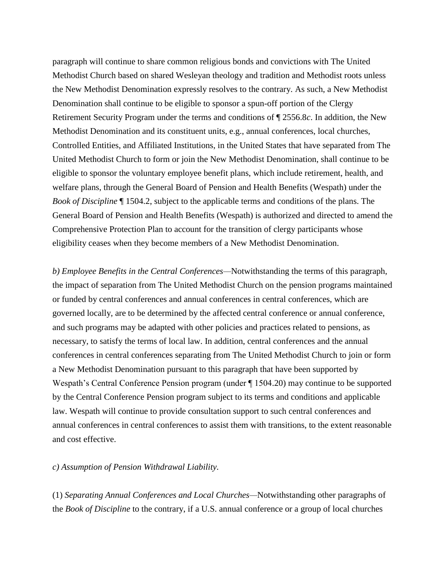paragraph will continue to share common religious bonds and convictions with The United Methodist Church based on shared Wesleyan theology and tradition and Methodist roots unless the New Methodist Denomination expressly resolves to the contrary. As such, a New Methodist Denomination shall continue to be eligible to sponsor a spun-off portion of the Clergy Retirement Security Program under the terms and conditions of ¶ 2556.8*c*. In addition, the New Methodist Denomination and its constituent units, e.g., annual conferences, local churches, Controlled Entities, and Affiliated Institutions, in the United States that have separated from The United Methodist Church to form or join the New Methodist Denomination, shall continue to be eligible to sponsor the voluntary employee benefit plans, which include retirement, health, and welfare plans, through the General Board of Pension and Health Benefits (Wespath) under the *Book of Discipline* ¶ 1504.2, subject to the applicable terms and conditions of the plans. The General Board of Pension and Health Benefits (Wespath) is authorized and directed to amend the Comprehensive Protection Plan to account for the transition of clergy participants whose eligibility ceases when they become members of a New Methodist Denomination.

*b) Employee Benefits in the Central Conferences—*Notwithstanding the terms of this paragraph, the impact of separation from The United Methodist Church on the pension programs maintained or funded by central conferences and annual conferences in central conferences, which are governed locally, are to be determined by the affected central conference or annual conference, and such programs may be adapted with other policies and practices related to pensions, as necessary, to satisfy the terms of local law. In addition, central conferences and the annual conferences in central conferences separating from The United Methodist Church to join or form a New Methodist Denomination pursuant to this paragraph that have been supported by Wespath's Central Conference Pension program (under ¶ 1504.20) may continue to be supported by the Central Conference Pension program subject to its terms and conditions and applicable law. Wespath will continue to provide consultation support to such central conferences and annual conferences in central conferences to assist them with transitions, to the extent reasonable and cost effective.

#### *c) Assumption of Pension Withdrawal Liability.*

(1) *Separating Annual Conferences and Local Churches—*Notwithstanding other paragraphs of the *Book of Discipline* to the contrary, if a U.S. annual conference or a group of local churches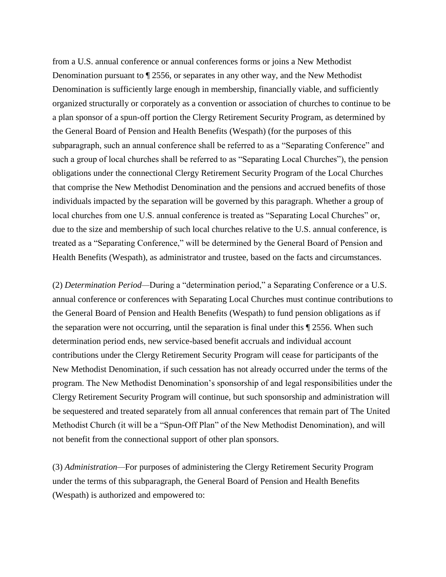from a U.S. annual conference or annual conferences forms or joins a New Methodist Denomination pursuant to ¶ 2556, or separates in any other way, and the New Methodist Denomination is sufficiently large enough in membership, financially viable, and sufficiently organized structurally or corporately as a convention or association of churches to continue to be a plan sponsor of a spun-off portion the Clergy Retirement Security Program, as determined by the General Board of Pension and Health Benefits (Wespath) (for the purposes of this subparagraph, such an annual conference shall be referred to as a "Separating Conference" and such a group of local churches shall be referred to as "Separating Local Churches"), the pension obligations under the connectional Clergy Retirement Security Program of the Local Churches that comprise the New Methodist Denomination and the pensions and accrued benefits of those individuals impacted by the separation will be governed by this paragraph. Whether a group of local churches from one U.S. annual conference is treated as "Separating Local Churches" or, due to the size and membership of such local churches relative to the U.S. annual conference, is treated as a "Separating Conference," will be determined by the General Board of Pension and Health Benefits (Wespath), as administrator and trustee, based on the facts and circumstances.

(2) *Determination Period—*During a "determination period," a Separating Conference or a U.S. annual conference or conferences with Separating Local Churches must continue contributions to the General Board of Pension and Health Benefits (Wespath) to fund pension obligations as if the separation were not occurring, until the separation is final under this ¶ 2556. When such determination period ends, new service-based benefit accruals and individual account contributions under the Clergy Retirement Security Program will cease for participants of the New Methodist Denomination, if such cessation has not already occurred under the terms of the program. The New Methodist Denomination's sponsorship of and legal responsibilities under the Clergy Retirement Security Program will continue, but such sponsorship and administration will be sequestered and treated separately from all annual conferences that remain part of The United Methodist Church (it will be a "Spun-Off Plan" of the New Methodist Denomination), and will not benefit from the connectional support of other plan sponsors.

(3) *Administration—*For purposes of administering the Clergy Retirement Security Program under the terms of this subparagraph, the General Board of Pension and Health Benefits (Wespath) is authorized and empowered to: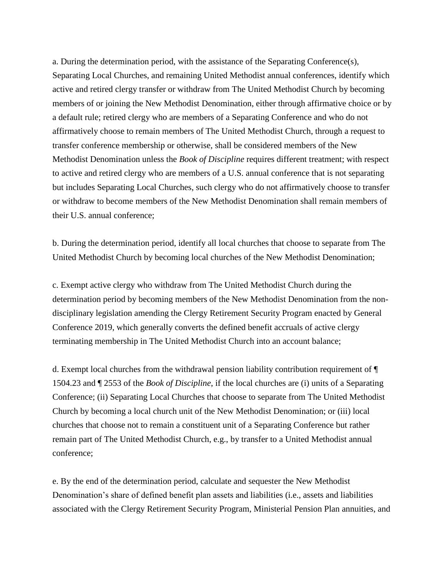a. During the determination period, with the assistance of the Separating Conference(s), Separating Local Churches, and remaining United Methodist annual conferences, identify which active and retired clergy transfer or withdraw from The United Methodist Church by becoming members of or joining the New Methodist Denomination, either through affirmative choice or by a default rule; retired clergy who are members of a Separating Conference and who do not affirmatively choose to remain members of The United Methodist Church, through a request to transfer conference membership or otherwise, shall be considered members of the New Methodist Denomination unless the *Book of Discipline* requires different treatment; with respect to active and retired clergy who are members of a U.S. annual conference that is not separating but includes Separating Local Churches, such clergy who do not affirmatively choose to transfer or withdraw to become members of the New Methodist Denomination shall remain members of their U.S. annual conference;

b. During the determination period, identify all local churches that choose to separate from The United Methodist Church by becoming local churches of the New Methodist Denomination;

c. Exempt active clergy who withdraw from The United Methodist Church during the determination period by becoming members of the New Methodist Denomination from the nondisciplinary legislation amending the Clergy Retirement Security Program enacted by General Conference 2019, which generally converts the defined benefit accruals of active clergy terminating membership in The United Methodist Church into an account balance;

d. Exempt local churches from the withdrawal pension liability contribution requirement of ¶ 1504.23 and ¶ 2553 of the *Book of Discipline*, if the local churches are (i) units of a Separating Conference; (ii) Separating Local Churches that choose to separate from The United Methodist Church by becoming a local church unit of the New Methodist Denomination; or (iii) local churches that choose not to remain a constituent unit of a Separating Conference but rather remain part of The United Methodist Church, e.g., by transfer to a United Methodist annual conference;

e. By the end of the determination period, calculate and sequester the New Methodist Denomination's share of defined benefit plan assets and liabilities (i.e., assets and liabilities associated with the Clergy Retirement Security Program, Ministerial Pension Plan annuities, and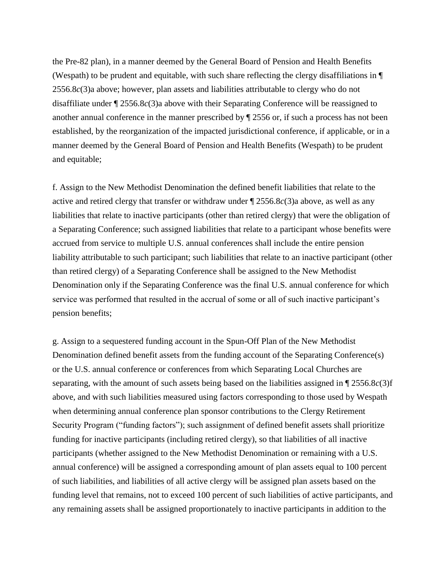the Pre-82 plan), in a manner deemed by the General Board of Pension and Health Benefits (Wespath) to be prudent and equitable, with such share reflecting the clergy disaffiliations in ¶ 2556.8*c*(3)a above; however, plan assets and liabilities attributable to clergy who do not disaffiliate under ¶ 2556.8*c*(3)a above with their Separating Conference will be reassigned to another annual conference in the manner prescribed by ¶ 2556 or, if such a process has not been established, by the reorganization of the impacted jurisdictional conference, if applicable, or in a manner deemed by the General Board of Pension and Health Benefits (Wespath) to be prudent and equitable;

f. Assign to the New Methodist Denomination the defined benefit liabilities that relate to the active and retired clergy that transfer or withdraw under ¶ 2556.8*c*(3)a above, as well as any liabilities that relate to inactive participants (other than retired clergy) that were the obligation of a Separating Conference; such assigned liabilities that relate to a participant whose benefits were accrued from service to multiple U.S. annual conferences shall include the entire pension liability attributable to such participant; such liabilities that relate to an inactive participant (other than retired clergy) of a Separating Conference shall be assigned to the New Methodist Denomination only if the Separating Conference was the final U.S. annual conference for which service was performed that resulted in the accrual of some or all of such inactive participant's pension benefits;

g. Assign to a sequestered funding account in the Spun-Off Plan of the New Methodist Denomination defined benefit assets from the funding account of the Separating Conference(s) or the U.S. annual conference or conferences from which Separating Local Churches are separating, with the amount of such assets being based on the liabilities assigned in ¶ 2556.8*c*(3)f above, and with such liabilities measured using factors corresponding to those used by Wespath when determining annual conference plan sponsor contributions to the Clergy Retirement Security Program ("funding factors"); such assignment of defined benefit assets shall prioritize funding for inactive participants (including retired clergy), so that liabilities of all inactive participants (whether assigned to the New Methodist Denomination or remaining with a U.S. annual conference) will be assigned a corresponding amount of plan assets equal to 100 percent of such liabilities, and liabilities of all active clergy will be assigned plan assets based on the funding level that remains, not to exceed 100 percent of such liabilities of active participants, and any remaining assets shall be assigned proportionately to inactive participants in addition to the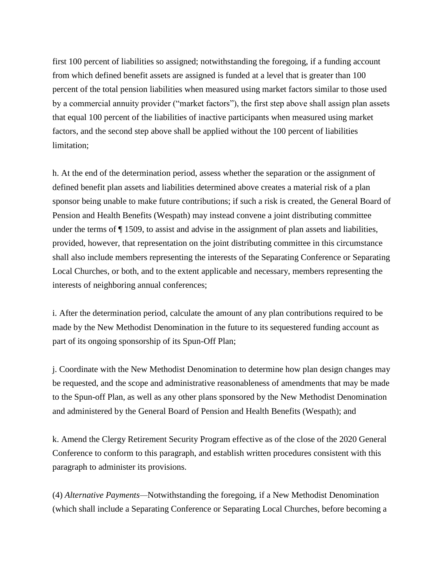first 100 percent of liabilities so assigned; notwithstanding the foregoing, if a funding account from which defined benefit assets are assigned is funded at a level that is greater than 100 percent of the total pension liabilities when measured using market factors similar to those used by a commercial annuity provider ("market factors"), the first step above shall assign plan assets that equal 100 percent of the liabilities of inactive participants when measured using market factors, and the second step above shall be applied without the 100 percent of liabilities limitation;

h. At the end of the determination period, assess whether the separation or the assignment of defined benefit plan assets and liabilities determined above creates a material risk of a plan sponsor being unable to make future contributions; if such a risk is created, the General Board of Pension and Health Benefits (Wespath) may instead convene a joint distributing committee under the terms of ¶ 1509, to assist and advise in the assignment of plan assets and liabilities, provided, however, that representation on the joint distributing committee in this circumstance shall also include members representing the interests of the Separating Conference or Separating Local Churches, or both, and to the extent applicable and necessary, members representing the interests of neighboring annual conferences;

i. After the determination period, calculate the amount of any plan contributions required to be made by the New Methodist Denomination in the future to its sequestered funding account as part of its ongoing sponsorship of its Spun-Off Plan;

j. Coordinate with the New Methodist Denomination to determine how plan design changes may be requested, and the scope and administrative reasonableness of amendments that may be made to the Spun-off Plan, as well as any other plans sponsored by the New Methodist Denomination and administered by the General Board of Pension and Health Benefits (Wespath); and

k. Amend the Clergy Retirement Security Program effective as of the close of the 2020 General Conference to conform to this paragraph, and establish written procedures consistent with this paragraph to administer its provisions.

(4) *Alternative Payments—*Notwithstanding the foregoing, if a New Methodist Denomination (which shall include a Separating Conference or Separating Local Churches, before becoming a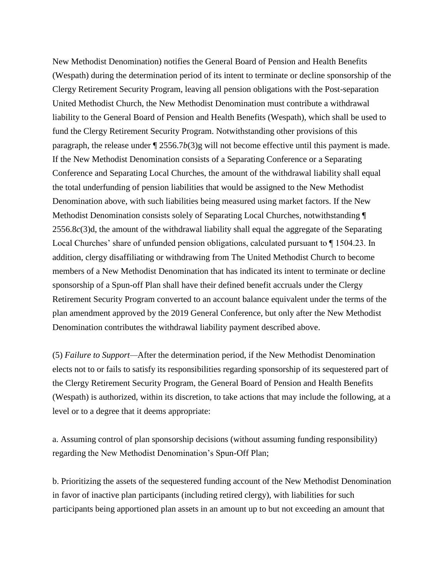New Methodist Denomination) notifies the General Board of Pension and Health Benefits (Wespath) during the determination period of its intent to terminate or decline sponsorship of the Clergy Retirement Security Program, leaving all pension obligations with the Post-separation United Methodist Church, the New Methodist Denomination must contribute a withdrawal liability to the General Board of Pension and Health Benefits (Wespath), which shall be used to fund the Clergy Retirement Security Program. Notwithstanding other provisions of this paragraph, the release under ¶ 2556.7*b*(3)g will not become effective until this payment is made. If the New Methodist Denomination consists of a Separating Conference or a Separating Conference and Separating Local Churches, the amount of the withdrawal liability shall equal the total underfunding of pension liabilities that would be assigned to the New Methodist Denomination above, with such liabilities being measured using market factors. If the New Methodist Denomination consists solely of Separating Local Churches, notwithstanding ¶ 2556.8*c*(3)d, the amount of the withdrawal liability shall equal the aggregate of the Separating Local Churches' share of unfunded pension obligations, calculated pursuant to ¶ 1504.23. In addition, clergy disaffiliating or withdrawing from The United Methodist Church to become members of a New Methodist Denomination that has indicated its intent to terminate or decline sponsorship of a Spun-off Plan shall have their defined benefit accruals under the Clergy Retirement Security Program converted to an account balance equivalent under the terms of the plan amendment approved by the 2019 General Conference, but only after the New Methodist Denomination contributes the withdrawal liability payment described above.

(5) *Failure to Support—*After the determination period, if the New Methodist Denomination elects not to or fails to satisfy its responsibilities regarding sponsorship of its sequestered part of the Clergy Retirement Security Program, the General Board of Pension and Health Benefits (Wespath) is authorized, within its discretion, to take actions that may include the following, at a level or to a degree that it deems appropriate:

a. Assuming control of plan sponsorship decisions (without assuming funding responsibility) regarding the New Methodist Denomination's Spun-Off Plan;

b. Prioritizing the assets of the sequestered funding account of the New Methodist Denomination in favor of inactive plan participants (including retired clergy), with liabilities for such participants being apportioned plan assets in an amount up to but not exceeding an amount that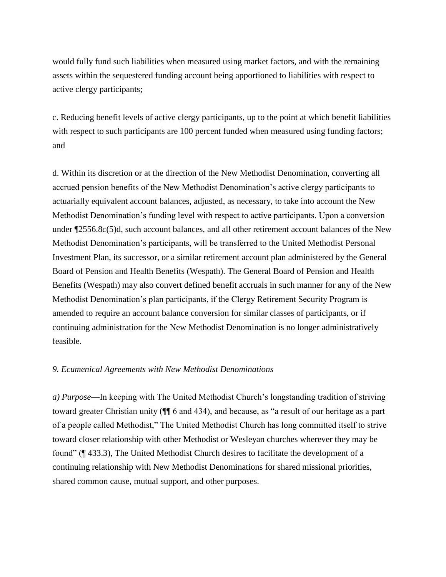would fully fund such liabilities when measured using market factors, and with the remaining assets within the sequestered funding account being apportioned to liabilities with respect to active clergy participants;

c. Reducing benefit levels of active clergy participants, up to the point at which benefit liabilities with respect to such participants are 100 percent funded when measured using funding factors; and

d. Within its discretion or at the direction of the New Methodist Denomination, converting all accrued pension benefits of the New Methodist Denomination's active clergy participants to actuarially equivalent account balances, adjusted, as necessary, to take into account the New Methodist Denomination's funding level with respect to active participants. Upon a conversion under ¶2556.8*c*(5)d, such account balances, and all other retirement account balances of the New Methodist Denomination's participants, will be transferred to the United Methodist Personal Investment Plan, its successor, or a similar retirement account plan administered by the General Board of Pension and Health Benefits (Wespath). The General Board of Pension and Health Benefits (Wespath) may also convert defined benefit accruals in such manner for any of the New Methodist Denomination's plan participants, if the Clergy Retirement Security Program is amended to require an account balance conversion for similar classes of participants, or if continuing administration for the New Methodist Denomination is no longer administratively feasible.

#### *9. Ecumenical Agreements with New Methodist Denominations*

*a) Purpose*—In keeping with The United Methodist Church's longstanding tradition of striving toward greater Christian unity (¶¶ 6 and 434), and because, as "a result of our heritage as a part of a people called Methodist," The United Methodist Church has long committed itself to strive toward closer relationship with other Methodist or Wesleyan churches wherever they may be found" (¶ 433.3), The United Methodist Church desires to facilitate the development of a continuing relationship with New Methodist Denominations for shared missional priorities, shared common cause, mutual support, and other purposes.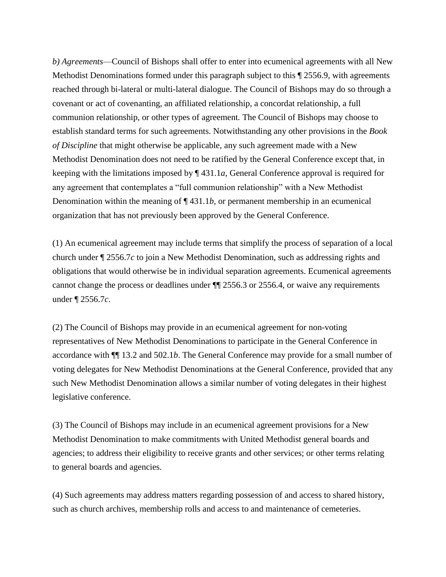*b) Agreements*—Council of Bishops shall offer to enter into ecumenical agreements with all New Methodist Denominations formed under this paragraph subject to this  $\sqrt{\frac{2556.9}{n}}$ , with agreements reached through bi-lateral or multi-lateral dialogue. The Council of Bishops may do so through a covenant or act of covenanting, an affiliated relationship, a concordat relationship, a full communion relationship, or other types of agreement*.* The Council of Bishops may choose to establish standard terms for such agreements. Notwithstanding any other provisions in the *Book of Discipline* that might otherwise be applicable, any such agreement made with a New Methodist Denomination does not need to be ratified by the General Conference except that, in keeping with the limitations imposed by ¶ 431.1*a*, General Conference approval is required for any agreement that contemplates a "full communion relationship" with a New Methodist Denomination within the meaning of ¶ 431.1*b*, or permanent membership in an ecumenical organization that has not previously been approved by the General Conference.

(1) An ecumenical agreement may include terms that simplify the process of separation of a local church under ¶ 2556.7*c* to join a New Methodist Denomination, such as addressing rights and obligations that would otherwise be in individual separation agreements. Ecumenical agreements cannot change the process or deadlines under ¶¶ 2556.3 or 2556.4, or waive any requirements under ¶ 2556.7*c*.

(2) The Council of Bishops may provide in an ecumenical agreement for non-voting representatives of New Methodist Denominations to participate in the General Conference in accordance with ¶¶ 13.2 and 502.1*b*. The General Conference may provide for a small number of voting delegates for New Methodist Denominations at the General Conference, provided that any such New Methodist Denomination allows a similar number of voting delegates in their highest legislative conference.

(3) The Council of Bishops may include in an ecumenical agreement provisions for a New Methodist Denomination to make commitments with United Methodist general boards and agencies; to address their eligibility to receive grants and other services; or other terms relating to general boards and agencies.

(4) Such agreements may address matters regarding possession of and access to shared history, such as church archives, membership rolls and access to and maintenance of cemeteries.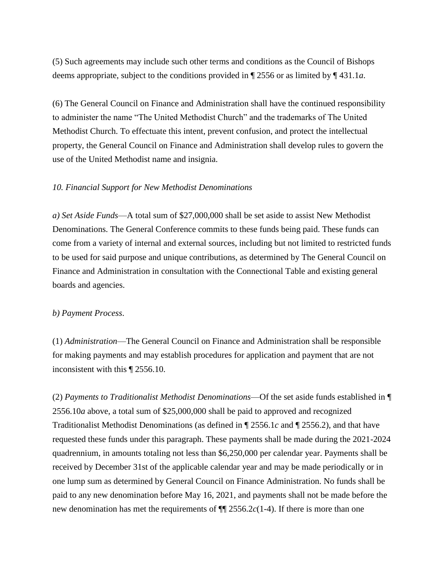(5) Such agreements may include such other terms and conditions as the Council of Bishops deems appropriate, subject to the conditions provided in ¶ 2556 or as limited by ¶ 431.1*a*.

(6) The General Council on Finance and Administration shall have the continued responsibility to administer the name "The United Methodist Church" and the trademarks of The United Methodist Church. To effectuate this intent, prevent confusion, and protect the intellectual property, the General Council on Finance and Administration shall develop rules to govern the use of the United Methodist name and insignia.

#### *10. Financial Support for New Methodist Denominations*

*a) Set Aside Funds*—A total sum of \$27,000,000 shall be set aside to assist New Methodist Denominations. The General Conference commits to these funds being paid. These funds can come from a variety of internal and external sources, including but not limited to restricted funds to be used for said purpose and unique contributions, as determined by The General Council on Finance and Administration in consultation with the Connectional Table and existing general boards and agencies.

#### *b) Payment Process*.

(1) *Administration*—The General Council on Finance and Administration shall be responsible for making payments and may establish procedures for application and payment that are not inconsistent with this ¶ 2556.10.

(2) *Payments to Traditionalist Methodist Denominations*—Of the set aside funds established in ¶ 2556.10*a* above, a total sum of \$25,000,000 shall be paid to approved and recognized Traditionalist Methodist Denominations (as defined in ¶ 2556.1*c* and ¶ 2556.2), and that have requested these funds under this paragraph. These payments shall be made during the 2021-2024 quadrennium, in amounts totaling not less than \$6,250,000 per calendar year. Payments shall be received by December 31st of the applicable calendar year and may be made periodically or in one lump sum as determined by General Council on Finance Administration. No funds shall be paid to any new denomination before May 16, 2021, and payments shall not be made before the new denomination has met the requirements of ¶¶ 2556.2*c*(1-4). If there is more than one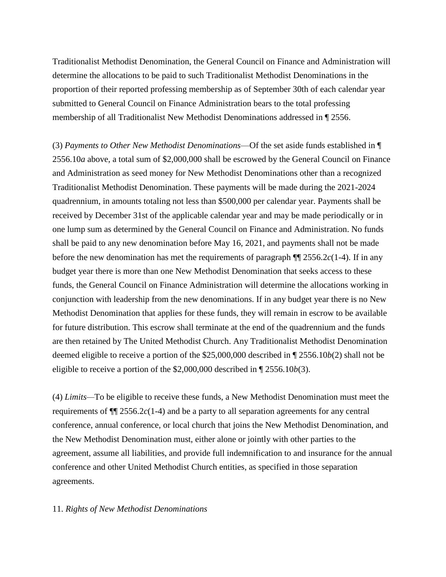Traditionalist Methodist Denomination, the General Council on Finance and Administration will determine the allocations to be paid to such Traditionalist Methodist Denominations in the proportion of their reported professing membership as of September 30th of each calendar year submitted to General Council on Finance Administration bears to the total professing membership of all Traditionalist New Methodist Denominations addressed in ¶ 2556.

(3) *Payments to Other New Methodist Denominations*—Of the set aside funds established in ¶ 2556.10*a* above, a total sum of \$2,000,000 shall be escrowed by the General Council on Finance and Administration as seed money for New Methodist Denominations other than a recognized Traditionalist Methodist Denomination. These payments will be made during the 2021-2024 quadrennium, in amounts totaling not less than \$500,000 per calendar year. Payments shall be received by December 31st of the applicable calendar year and may be made periodically or in one lump sum as determined by the General Council on Finance and Administration. No funds shall be paid to any new denomination before May 16, 2021, and payments shall not be made before the new denomination has met the requirements of paragraph  $\P$  2556.2*c*(1-4). If in any budget year there is more than one New Methodist Denomination that seeks access to these funds, the General Council on Finance Administration will determine the allocations working in conjunction with leadership from the new denominations. If in any budget year there is no New Methodist Denomination that applies for these funds, they will remain in escrow to be available for future distribution. This escrow shall terminate at the end of the quadrennium and the funds are then retained by The United Methodist Church. Any Traditionalist Methodist Denomination deemed eligible to receive a portion of the \$25,000,000 described in ¶ 2556.10*b*(2) shall not be eligible to receive a portion of the \$2,000,000 described in ¶ 2556.10*b*(3).

(4) *Limits—*To be eligible to receive these funds, a New Methodist Denomination must meet the requirements of ¶¶ 2556.2*c*(1-4) and be a party to all separation agreements for any central conference, annual conference, or local church that joins the New Methodist Denomination, and the New Methodist Denomination must, either alone or jointly with other parties to the agreement, assume all liabilities, and provide full indemnification to and insurance for the annual conference and other United Methodist Church entities, as specified in those separation agreements.

#### 11. *Rights of New Methodist Denominations*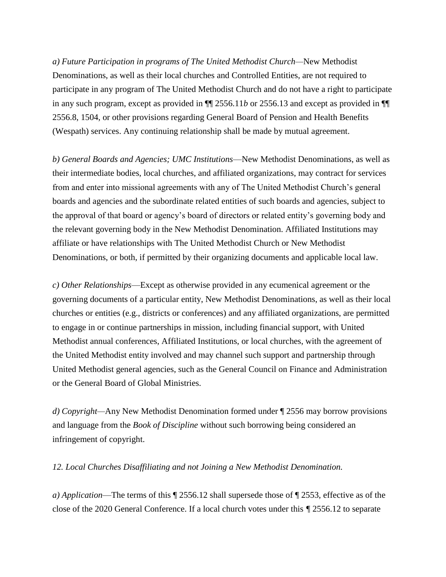*a) Future Participation in programs of The United Methodist Church—*New Methodist Denominations, as well as their local churches and Controlled Entities, are not required to participate in any program of The United Methodist Church and do not have a right to participate in any such program, except as provided in ¶¶ 2556.11*b* or 2556.13 and except as provided in ¶¶ 2556.8, 1504, or other provisions regarding General Board of Pension and Health Benefits (Wespath) services. Any continuing relationship shall be made by mutual agreement.

*b) General Boards and Agencies; UMC Institutions*—New Methodist Denominations, as well as their intermediate bodies, local churches, and affiliated organizations, may contract for services from and enter into missional agreements with any of The United Methodist Church's general boards and agencies and the subordinate related entities of such boards and agencies, subject to the approval of that board or agency's board of directors or related entity's governing body and the relevant governing body in the New Methodist Denomination. Affiliated Institutions may affiliate or have relationships with The United Methodist Church or New Methodist Denominations, or both, if permitted by their organizing documents and applicable local law.

*c) Other Relationships*—Except as otherwise provided in any ecumenical agreement or the governing documents of a particular entity, New Methodist Denominations, as well as their local churches or entities (e.g., districts or conferences) and any affiliated organizations, are permitted to engage in or continue partnerships in mission, including financial support, with United Methodist annual conferences, Affiliated Institutions, or local churches, with the agreement of the United Methodist entity involved and may channel such support and partnership through United Methodist general agencies, such as the General Council on Finance and Administration or the General Board of Global Ministries.

*d) Copyright—*Any New Methodist Denomination formed under ¶ 2556 may borrow provisions and language from the *Book of Discipline* without such borrowing being considered an infringement of copyright.

*12. Local Churches Disaffiliating and not Joining a New Methodist Denomination.* 

*a) Application*—The terms of this ¶ 2556.12 shall supersede those of ¶ 2553, effective as of the close of the 2020 General Conference. If a local church votes under this *¶* 2556.12 to separate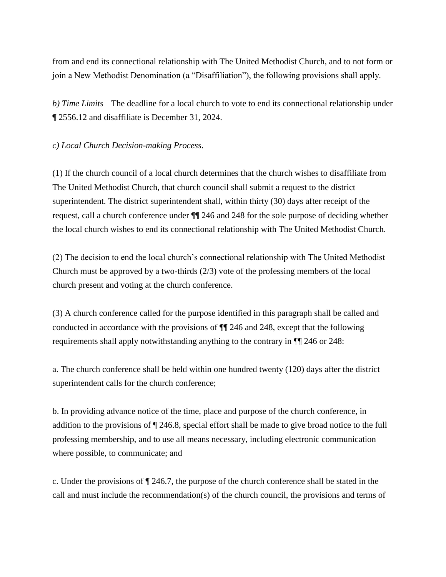from and end its connectional relationship with The United Methodist Church, and to not form or join a New Methodist Denomination (a "Disaffiliation"), the following provisions shall apply.

*b) Time Limits—*The deadline for a local church to vote to end its connectional relationship under ¶ 2556.12 and disaffiliate is December 31, 2024.

# *c) Local Church Decision-making Process*.

(1) If the church council of a local church determines that the church wishes to disaffiliate from The United Methodist Church, that church council shall submit a request to the district superintendent. The district superintendent shall, within thirty (30) days after receipt of the request, call a church conference under ¶¶ 246 and 248 for the sole purpose of deciding whether the local church wishes to end its connectional relationship with The United Methodist Church.

(2) The decision to end the local church's connectional relationship with The United Methodist Church must be approved by a two-thirds (2/3) vote of the professing members of the local church present and voting at the church conference.

(3) A church conference called for the purpose identified in this paragraph shall be called and conducted in accordance with the provisions of ¶¶ 246 and 248, except that the following requirements shall apply notwithstanding anything to the contrary in ¶¶ 246 or 248:

a. The church conference shall be held within one hundred twenty (120) days after the district superintendent calls for the church conference;

b. In providing advance notice of the time, place and purpose of the church conference, in addition to the provisions of ¶ 246.8, special effort shall be made to give broad notice to the full professing membership, and to use all means necessary, including electronic communication where possible, to communicate; and

c. Under the provisions of ¶ 246.7, the purpose of the church conference shall be stated in the call and must include the recommendation(s) of the church council, the provisions and terms of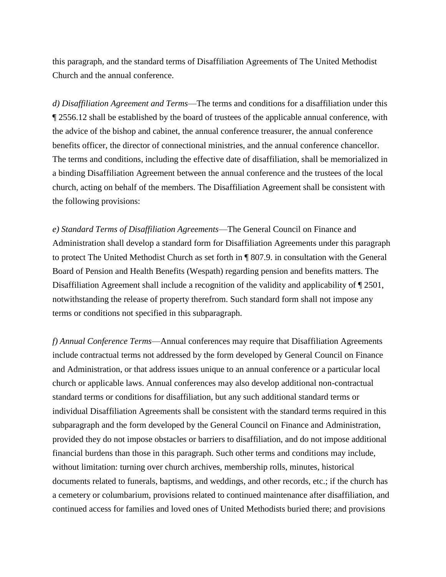this paragraph, and the standard terms of Disaffiliation Agreements of The United Methodist Church and the annual conference.

*d) Disaffiliation Agreement and Terms*—The terms and conditions for a disaffiliation under this ¶ 2556.12 shall be established by the board of trustees of the applicable annual conference, with the advice of the bishop and cabinet, the annual conference treasurer, the annual conference benefits officer, the director of connectional ministries, and the annual conference chancellor. The terms and conditions, including the effective date of disaffiliation, shall be memorialized in a binding Disaffiliation Agreement between the annual conference and the trustees of the local church, acting on behalf of the members. The Disaffiliation Agreement shall be consistent with the following provisions:

*e) Standard Terms of Disaffiliation Agreements*—The General Council on Finance and Administration shall develop a standard form for Disaffiliation Agreements under this paragraph to protect The United Methodist Church as set forth in ¶ 807.9. in consultation with the General Board of Pension and Health Benefits (Wespath) regarding pension and benefits matters. The Disaffiliation Agreement shall include a recognition of the validity and applicability of  $\P$  2501, notwithstanding the release of property therefrom. Such standard form shall not impose any terms or conditions not specified in this subparagraph.

*f) Annual Conference Terms*—Annual conferences may require that Disaffiliation Agreements include contractual terms not addressed by the form developed by General Council on Finance and Administration, or that address issues unique to an annual conference or a particular local church or applicable laws. Annual conferences may also develop additional non-contractual standard terms or conditions for disaffiliation, but any such additional standard terms or individual Disaffiliation Agreements shall be consistent with the standard terms required in this subparagraph and the form developed by the General Council on Finance and Administration, provided they do not impose obstacles or barriers to disaffiliation, and do not impose additional financial burdens than those in this paragraph. Such other terms and conditions may include, without limitation: turning over church archives, membership rolls, minutes, historical documents related to funerals, baptisms, and weddings, and other records, etc.; if the church has a cemetery or columbarium, provisions related to continued maintenance after disaffiliation, and continued access for families and loved ones of United Methodists buried there; and provisions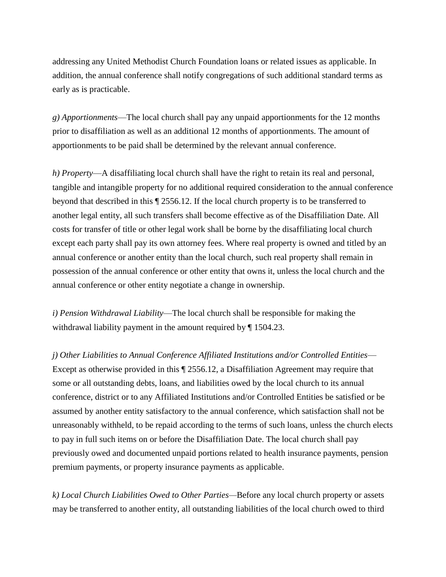addressing any United Methodist Church Foundation loans or related issues as applicable. In addition, the annual conference shall notify congregations of such additional standard terms as early as is practicable.

*g) Apportionments*—The local church shall pay any unpaid apportionments for the 12 months prior to disaffiliation as well as an additional 12 months of apportionments. The amount of apportionments to be paid shall be determined by the relevant annual conference.

*h) Property*—A disaffiliating local church shall have the right to retain its real and personal, tangible and intangible property for no additional required consideration to the annual conference beyond that described in this ¶ 2556.12. If the local church property is to be transferred to another legal entity, all such transfers shall become effective as of the Disaffiliation Date. All costs for transfer of title or other legal work shall be borne by the disaffiliating local church except each party shall pay its own attorney fees. Where real property is owned and titled by an annual conference or another entity than the local church, such real property shall remain in possession of the annual conference or other entity that owns it, unless the local church and the annual conference or other entity negotiate a change in ownership.

*i) Pension Withdrawal Liability*—The local church shall be responsible for making the withdrawal liability payment in the amount required by ¶ 1504.23.

*j) Other Liabilities to Annual Conference Affiliated Institutions and/or Controlled Entities*— Except as otherwise provided in this ¶ 2556.12, a Disaffiliation Agreement may require that some or all outstanding debts, loans, and liabilities owed by the local church to its annual conference, district or to any Affiliated Institutions and/or Controlled Entities be satisfied or be assumed by another entity satisfactory to the annual conference, which satisfaction shall not be unreasonably withheld, to be repaid according to the terms of such loans, unless the church elects to pay in full such items on or before the Disaffiliation Date. The local church shall pay previously owed and documented unpaid portions related to health insurance payments, pension premium payments, or property insurance payments as applicable.

*k) Local Church Liabilities Owed to Other Parties—*Before any local church property or assets may be transferred to another entity, all outstanding liabilities of the local church owed to third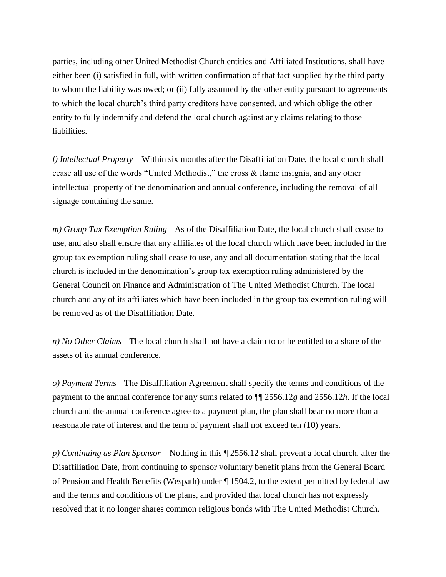parties, including other United Methodist Church entities and Affiliated Institutions, shall have either been (i) satisfied in full, with written confirmation of that fact supplied by the third party to whom the liability was owed; or (ii) fully assumed by the other entity pursuant to agreements to which the local church's third party creditors have consented, and which oblige the other entity to fully indemnify and defend the local church against any claims relating to those liabilities.

*l) Intellectual Property*—Within six months after the Disaffiliation Date, the local church shall cease all use of the words "United Methodist," the cross & flame insignia, and any other intellectual property of the denomination and annual conference, including the removal of all signage containing the same.

*m) Group Tax Exemption Ruling—*As of the Disaffiliation Date, the local church shall cease to use, and also shall ensure that any affiliates of the local church which have been included in the group tax exemption ruling shall cease to use, any and all documentation stating that the local church is included in the denomination's group tax exemption ruling administered by the General Council on Finance and Administration of The United Methodist Church. The local church and any of its affiliates which have been included in the group tax exemption ruling will be removed as of the Disaffiliation Date.

*n) No Other Claims—*The local church shall not have a claim to or be entitled to a share of the assets of its annual conference.

*o) Payment Terms—*The Disaffiliation Agreement shall specify the terms and conditions of the payment to the annual conference for any sums related to ¶¶ 2556.12*g* and 2556.12*h*. If the local church and the annual conference agree to a payment plan, the plan shall bear no more than a reasonable rate of interest and the term of payment shall not exceed ten (10) years.

*p) Continuing as Plan Sponsor*—Nothing in this ¶ 2556.12 shall prevent a local church, after the Disaffiliation Date, from continuing to sponsor voluntary benefit plans from the General Board of Pension and Health Benefits (Wespath) under ¶ 1504.2, to the extent permitted by federal law and the terms and conditions of the plans, and provided that local church has not expressly resolved that it no longer shares common religious bonds with The United Methodist Church.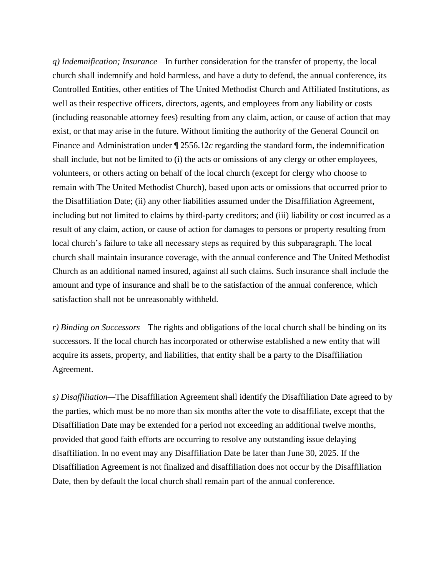*q) Indemnification; Insurance—*In further consideration for the transfer of property, the local church shall indemnify and hold harmless, and have a duty to defend, the annual conference, its Controlled Entities, other entities of The United Methodist Church and Affiliated Institutions, as well as their respective officers, directors, agents, and employees from any liability or costs (including reasonable attorney fees) resulting from any claim, action, or cause of action that may exist, or that may arise in the future. Without limiting the authority of the General Council on Finance and Administration under ¶ 2556.12*c* regarding the standard form, the indemnification shall include, but not be limited to (i) the acts or omissions of any clergy or other employees, volunteers, or others acting on behalf of the local church (except for clergy who choose to remain with The United Methodist Church), based upon acts or omissions that occurred prior to the Disaffiliation Date; (ii) any other liabilities assumed under the Disaffiliation Agreement, including but not limited to claims by third-party creditors; and (iii) liability or cost incurred as a result of any claim, action, or cause of action for damages to persons or property resulting from local church's failure to take all necessary steps as required by this subparagraph. The local church shall maintain insurance coverage, with the annual conference and The United Methodist Church as an additional named insured, against all such claims. Such insurance shall include the amount and type of insurance and shall be to the satisfaction of the annual conference, which satisfaction shall not be unreasonably withheld.

*r) Binding on Successors—*The rights and obligations of the local church shall be binding on its successors. If the local church has incorporated or otherwise established a new entity that will acquire its assets, property, and liabilities, that entity shall be a party to the Disaffiliation Agreement.

*s) Disaffiliation—*The Disaffiliation Agreement shall identify the Disaffiliation Date agreed to by the parties, which must be no more than six months after the vote to disaffiliate, except that the Disaffiliation Date may be extended for a period not exceeding an additional twelve months, provided that good faith efforts are occurring to resolve any outstanding issue delaying disaffiliation. In no event may any Disaffiliation Date be later than June 30, 2025. If the Disaffiliation Agreement is not finalized and disaffiliation does not occur by the Disaffiliation Date, then by default the local church shall remain part of the annual conference.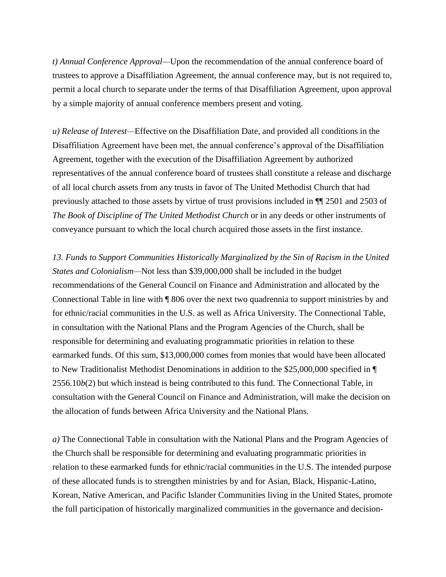*t) Annual Conference Approval—*Upon the recommendation of the annual conference board of trustees to approve a Disaffiliation Agreement, the annual conference may, but is not required to, permit a local church to separate under the terms of that Disaffiliation Agreement, upon approval by a simple majority of annual conference members present and voting.

*u) Release of Interest—*Effective on the Disaffiliation Date, and provided all conditions in the Disaffiliation Agreement have been met, the annual conference's approval of the Disaffiliation Agreement, together with the execution of the Disaffiliation Agreement by authorized representatives of the annual conference board of trustees shall constitute a release and discharge of all local church assets from any trusts in favor of The United Methodist Church that had previously attached to those assets by virtue of trust provisions included in ¶¶ 2501 and 2503 of *The Book of Discipline of The United Methodist Church* or in any deeds or other instruments of conveyance pursuant to which the local church acquired those assets in the first instance.

*13. Funds to Support Communities Historically Marginalized by the Sin of Racism in the United States and Colonialism—*Not less than \$39,000,000 shall be included in the budget recommendations of the General Council on Finance and Administration and allocated by the Connectional Table in line with ¶ 806 over the next two quadrennia to support ministries by and for ethnic/racial communities in the U.S. as well as Africa University. The Connectional Table, in consultation with the National Plans and the Program Agencies of the Church, shall be responsible for determining and evaluating programmatic priorities in relation to these earmarked funds. Of this sum, \$13,000,000 comes from monies that would have been allocated to New Traditionalist Methodist Denominations in addition to the \$25,000,000 specified in ¶ 2556.10*b*(2) but which instead is being contributed to this fund. The Connectional Table, in consultation with the General Council on Finance and Administration, will make the decision on the allocation of funds between Africa University and the National Plans.

*a)* The Connectional Table in consultation with the National Plans and the Program Agencies of the Church shall be responsible for determining and evaluating programmatic priorities in relation to these earmarked funds for ethnic/racial communities in the U.S. The intended purpose of these allocated funds is to strengthen ministries by and for Asian, Black, Hispanic-Latino, Korean, Native American, and Pacific Islander Communities living in the United States, promote the full participation of historically marginalized communities in the governance and decision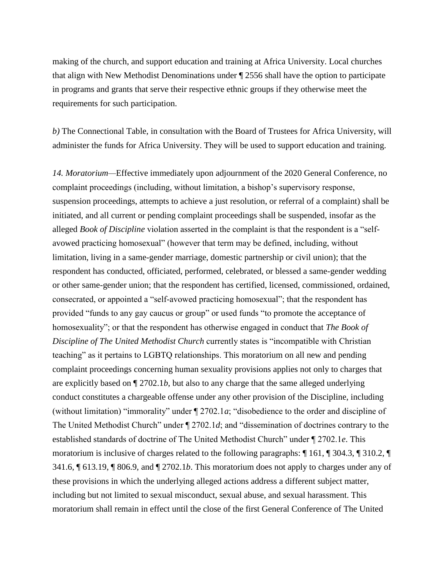making of the church, and support education and training at Africa University. Local churches that align with New Methodist Denominations under ¶ 2556 shall have the option to participate in programs and grants that serve their respective ethnic groups if they otherwise meet the requirements for such participation.

*b)* The Connectional Table, in consultation with the Board of Trustees for Africa University, will administer the funds for Africa University. They will be used to support education and training.

*14. Moratorium—*Effective immediately upon adjournment of the 2020 General Conference, no complaint proceedings (including, without limitation, a bishop's supervisory response, suspension proceedings, attempts to achieve a just resolution, or referral of a complaint) shall be initiated, and all current or pending complaint proceedings shall be suspended, insofar as the alleged *Book of Discipline* violation asserted in the complaint is that the respondent is a "selfavowed practicing homosexual" (however that term may be defined, including, without limitation, living in a same-gender marriage, domestic partnership or civil union); that the respondent has conducted, officiated, performed, celebrated, or blessed a same-gender wedding or other same-gender union; that the respondent has certified, licensed, commissioned, ordained, consecrated, or appointed a "self-avowed practicing homosexual"; that the respondent has provided "funds to any gay caucus or group" or used funds "to promote the acceptance of homosexuality"; or that the respondent has otherwise engaged in conduct that *The Book of Discipline of The United Methodist Church* currently states is "incompatible with Christian teaching" as it pertains to LGBTQ relationships. This moratorium on all new and pending complaint proceedings concerning human sexuality provisions applies not only to charges that are explicitly based on ¶ 2702.1*b*, but also to any charge that the same alleged underlying conduct constitutes a chargeable offense under any other provision of the Discipline, including (without limitation) "immorality" under ¶ 2702.1*a*; "disobedience to the order and discipline of The United Methodist Church" under ¶ 2702.1*d*; and "dissemination of doctrines contrary to the established standards of doctrine of The United Methodist Church" under ¶ 2702.1*e*. This moratorium is inclusive of charges related to the following paragraphs: ¶ 161, ¶ 304.3, ¶ 310.2, ¶ 341.6, ¶ 613.19, ¶ 806.9, and ¶ 2702.1*b*. This moratorium does not apply to charges under any of these provisions in which the underlying alleged actions address a different subject matter, including but not limited to sexual misconduct, sexual abuse, and sexual harassment. This moratorium shall remain in effect until the close of the first General Conference of The United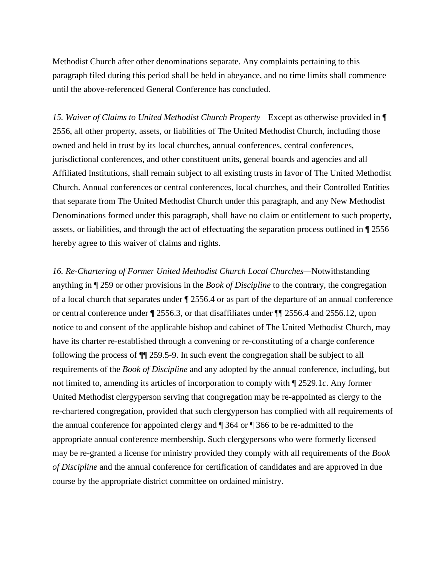Methodist Church after other denominations separate. Any complaints pertaining to this paragraph filed during this period shall be held in abeyance, and no time limits shall commence until the above-referenced General Conference has concluded.

*15. Waiver of Claims to United Methodist Church Property—*Except as otherwise provided in ¶ 2556, all other property, assets, or liabilities of The United Methodist Church, including those owned and held in trust by its local churches, annual conferences, central conferences, jurisdictional conferences, and other constituent units, general boards and agencies and all Affiliated Institutions, shall remain subject to all existing trusts in favor of The United Methodist Church. Annual conferences or central conferences, local churches, and their Controlled Entities that separate from The United Methodist Church under this paragraph, and any New Methodist Denominations formed under this paragraph, shall have no claim or entitlement to such property, assets, or liabilities, and through the act of effectuating the separation process outlined in ¶ 2556 hereby agree to this waiver of claims and rights.

*16. Re-Chartering of Former United Methodist Church Local Churches—*Notwithstanding anything in ¶ 259 or other provisions in the *Book of Discipline* to the contrary, the congregation of a local church that separates under ¶ 2556.4 or as part of the departure of an annual conference or central conference under ¶ 2556.3, or that disaffiliates under ¶¶ 2556.4 and 2556.12, upon notice to and consent of the applicable bishop and cabinet of The United Methodist Church, may have its charter re-established through a convening or re-constituting of a charge conference following the process of ¶¶ 259.5-9. In such event the congregation shall be subject to all requirements of the *Book of Discipline* and any adopted by the annual conference, including, but not limited to, amending its articles of incorporation to comply with ¶ 2529.1*c*. Any former United Methodist clergyperson serving that congregation may be re-appointed as clergy to the re-chartered congregation, provided that such clergyperson has complied with all requirements of the annual conference for appointed clergy and ¶ 364 or ¶ 366 to be re-admitted to the appropriate annual conference membership. Such clergypersons who were formerly licensed may be re-granted a license for ministry provided they comply with all requirements of the *Book of Discipline* and the annual conference for certification of candidates and are approved in due course by the appropriate district committee on ordained ministry.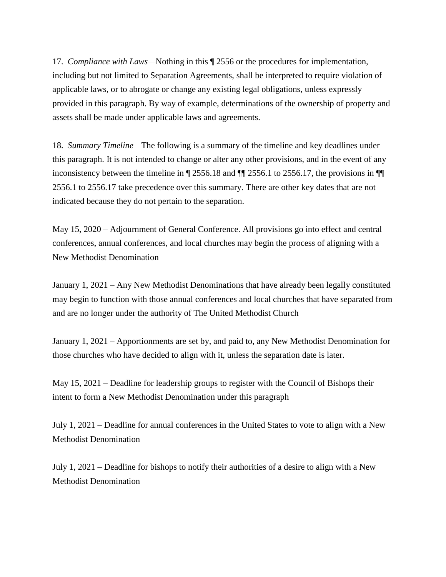17. *Compliance with Laws—*Nothing in this ¶ 2556 or the procedures for implementation, including but not limited to Separation Agreements, shall be interpreted to require violation of applicable laws, or to abrogate or change any existing legal obligations, unless expressly provided in this paragraph. By way of example, determinations of the ownership of property and assets shall be made under applicable laws and agreements.

18. *Summary Timeline—*The following is a summary of the timeline and key deadlines under this paragraph. It is not intended to change or alter any other provisions, and in the event of any inconsistency between the timeline in ¶ 2556.18 and ¶¶ 2556.1 to 2556.17, the provisions in ¶¶ 2556.1 to 2556.17 take precedence over this summary. There are other key dates that are not indicated because they do not pertain to the separation.

May 15, 2020 – Adjournment of General Conference. All provisions go into effect and central conferences, annual conferences, and local churches may begin the process of aligning with a New Methodist Denomination

January 1, 2021 – Any New Methodist Denominations that have already been legally constituted may begin to function with those annual conferences and local churches that have separated from and are no longer under the authority of The United Methodist Church

January 1, 2021 – Apportionments are set by, and paid to, any New Methodist Denomination for those churches who have decided to align with it, unless the separation date is later.

May 15, 2021 – Deadline for leadership groups to register with the Council of Bishops their intent to form a New Methodist Denomination under this paragraph

July 1, 2021 – Deadline for annual conferences in the United States to vote to align with a New Methodist Denomination

July 1, 2021 – Deadline for bishops to notify their authorities of a desire to align with a New Methodist Denomination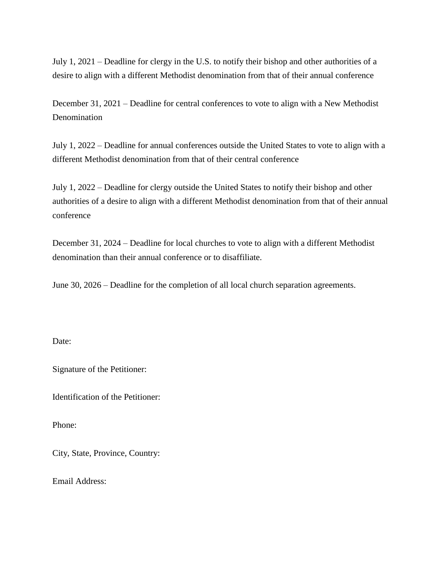July 1, 2021 – Deadline for clergy in the U.S. to notify their bishop and other authorities of a desire to align with a different Methodist denomination from that of their annual conference

December 31, 2021 – Deadline for central conferences to vote to align with a New Methodist Denomination

July 1, 2022 – Deadline for annual conferences outside the United States to vote to align with a different Methodist denomination from that of their central conference

July 1, 2022 – Deadline for clergy outside the United States to notify their bishop and other authorities of a desire to align with a different Methodist denomination from that of their annual conference

December 31, 2024 – Deadline for local churches to vote to align with a different Methodist denomination than their annual conference or to disaffiliate.

June 30, 2026 – Deadline for the completion of all local church separation agreements.

Date:

Signature of the Petitioner:

Identification of the Petitioner:

Phone:

City, State, Province, Country:

Email Address: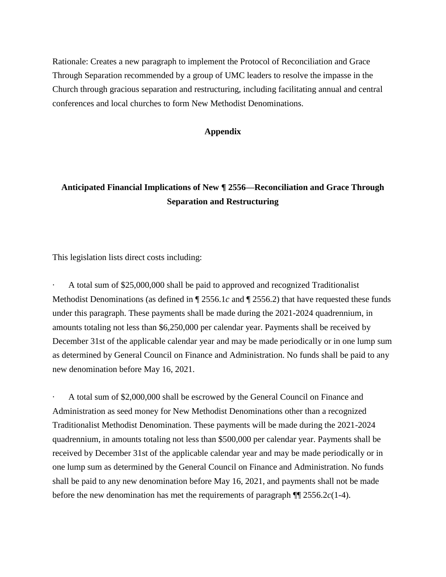Rationale: Creates a new paragraph to implement the Protocol of Reconciliation and Grace Through Separation recommended by a group of UMC leaders to resolve the impasse in the Church through gracious separation and restructuring, including facilitating annual and central conferences and local churches to form New Methodist Denominations.

## **Appendix**

# **Anticipated Financial Implications of New ¶ 2556—Reconciliation and Grace Through Separation and Restructuring**

This legislation lists direct costs including:

A total sum of \$25,000,000 shall be paid to approved and recognized Traditionalist Methodist Denominations (as defined in ¶ 2556.1*c* and ¶ 2556.2) that have requested these funds under this paragraph. These payments shall be made during the 2021-2024 quadrennium, in amounts totaling not less than \$6,250,000 per calendar year. Payments shall be received by December 31st of the applicable calendar year and may be made periodically or in one lump sum as determined by General Council on Finance and Administration. No funds shall be paid to any new denomination before May 16, 2021.

· A total sum of \$2,000,000 shall be escrowed by the General Council on Finance and Administration as seed money for New Methodist Denominations other than a recognized Traditionalist Methodist Denomination. These payments will be made during the 2021-2024 quadrennium, in amounts totaling not less than \$500,000 per calendar year. Payments shall be received by December 31st of the applicable calendar year and may be made periodically or in one lump sum as determined by the General Council on Finance and Administration. No funds shall be paid to any new denomination before May 16, 2021, and payments shall not be made before the new denomination has met the requirements of paragraph ¶¶ 2556.2*c*(1-4).